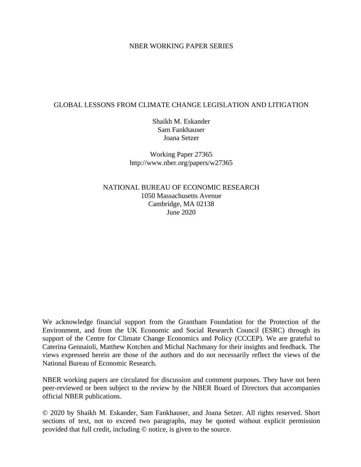## NBER WORKING PAPER SERIES

## GLOBAL LESSONS FROM CLIMATE CHANGE LEGISLATION AND LITIGATION

Shaikh M. Eskander Sam Fankhauser Joana Setzer

Working Paper 27365 http://www.nber.org/papers/w27365

NATIONAL BUREAU OF ECONOMIC RESEARCH 1050 Massachusetts Avenue Cambridge, MA 02138 June 2020

We acknowledge financial support from the Grantham Foundation for the Protection of the Environment, and from the UK Economic and Social Research Council (ESRC) through its support of the Centre for Climate Change Economics and Policy (CCCEP). We are grateful to Caterina Gennaioli, Matthew Kotchen and Michal Nachmany for their insights and feedback. The views expressed herein are those of the authors and do not necessarily reflect the views of the National Bureau of Economic Research.

NBER working papers are circulated for discussion and comment purposes. They have not been peer-reviewed or been subject to the review by the NBER Board of Directors that accompanies official NBER publications.

© 2020 by Shaikh M. Eskander, Sam Fankhauser, and Joana Setzer. All rights reserved. Short sections of text, not to exceed two paragraphs, may be quoted without explicit permission provided that full credit, including © notice, is given to the source.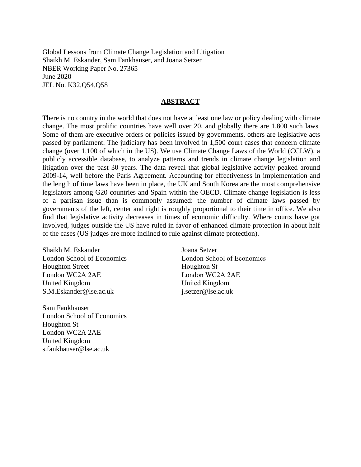Global Lessons from Climate Change Legislation and Litigation Shaikh M. Eskander, Sam Fankhauser, and Joana Setzer NBER Working Paper No. 27365 June 2020 JEL No. K32,Q54,Q58

## **ABSTRACT**

There is no country in the world that does not have at least one law or policy dealing with climate change. The most prolific countries have well over 20, and globally there are 1,800 such laws. Some of them are executive orders or policies issued by governments, others are legislative acts passed by parliament. The judiciary has been involved in 1,500 court cases that concern climate change (over 1,100 of which in the US). We use Climate Change Laws of the World (CCLW), a publicly accessible database, to analyze patterns and trends in climate change legislation and litigation over the past 30 years. The data reveal that global legislative activity peaked around 2009-14, well before the Paris Agreement. Accounting for effectiveness in implementation and the length of time laws have been in place, the UK and South Korea are the most comprehensive legislators among G20 countries and Spain within the OECD. Climate change legislation is less of a partisan issue than is commonly assumed: the number of climate laws passed by governments of the left, center and right is roughly proportional to their time in office. We also find that legislative activity decreases in times of economic difficulty. Where courts have got involved, judges outside the US have ruled in favor of enhanced climate protection in about half of the cases (US judges are more inclined to rule against climate protection).

Shaikh M. Eskander London School of Economics Houghton Street London WC2A 2AE United Kingdom S.M.Eskander@lse.ac.uk

Sam Fankhauser London School of Economics Houghton St London WC2A 2AE United Kingdom s.fankhauser@lse.ac.uk

Joana Setzer London School of Economics Houghton St London WC2A 2AE United Kingdom j.setzer@lse.ac.uk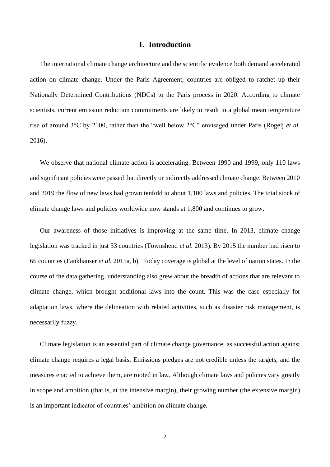## **1. Introduction**

The international climate change architecture and the scientific evidence both demand accelerated action on climate change. Under the Paris Agreement, countries are obliged to ratchet up their Nationally Determined Contributions (NDCs) to the Paris process in 2020. According to climate scientists, current emission reduction commitments are likely to result in a global mean temperature rise of around 3°C by 2100, rather than the "well below 2°C" envisaged under Paris (Rogelj *et al.* 2016).

We observe that national climate action is accelerating. Between 1990 and 1999, only 110 laws and significant policies were passed that directly or indirectly addressed climate change. Between 2010 and 2019 the flow of new laws had grown tenfold to about 1,100 laws and policies. The total stock of climate change laws and policies worldwide now stands at 1,800 and continues to grow.

Our awareness of those initiatives is improving at the same time. In 2013, climate change legislation was tracked in just 33 countries (Townshend *et al.* 2013). By 2015 the number had risen to 66 countries (Fankhauser *et al.* 2015a, b). Today coverage is global at the level of nation states. In the course of the data gathering, understanding also grew about the breadth of actions that are relevant to climate change, which brought additional laws into the count. This was the case especially for adaptation laws, where the delineation with related activities, such as disaster risk management, is necessarily fuzzy.

Climate legislation is an essential part of climate change governance, as successful action against climate change requires a legal basis. Emissions pledges are not credible unless the targets, and the measures enacted to achieve them, are rooted in law. Although climate laws and policies vary greatly in scope and ambition (that is, at the intensive margin), their growing number (the extensive margin) is an important indicator of countries' ambition on climate change.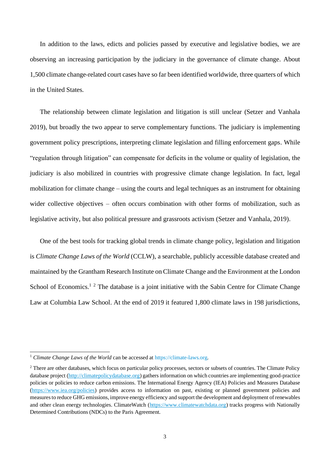In addition to the laws, edicts and policies passed by executive and legislative bodies, we are observing an increasing participation by the judiciary in the governance of climate change. About 1,500 climate change-related court cases have so far been identified worldwide, three quarters of which in the United States.

The relationship between climate legislation and litigation is still unclear (Setzer and Vanhala 2019), but broadly the two appear to serve complementary functions. The judiciary is implementing government policy prescriptions, interpreting climate legislation and filling enforcement gaps. While "regulation through litigation" can compensate for deficits in the volume or quality of legislation, the judiciary is also mobilized in countries with progressive climate change legislation. In fact, legal mobilization for climate change – using the courts and legal techniques as an instrument for obtaining wider collective objectives – often occurs combination with other forms of mobilization, such as legislative activity, but also political pressure and grassroots activism (Setzer and Vanhala, 2019).

One of the best tools for tracking global trends in climate change policy, legislation and litigation is *Climate Change Laws of the World* (CCLW), a searchable, publicly accessible database created and maintained by the Grantham Research Institute on Climate Change and the Environment at the London School of Economics.<sup>1 2</sup> The database is a joint initiative with the Sabin Centre for Climate Change Law at Columbia Law School. At the end of 2019 it featured 1,800 climate laws in 198 jurisdictions,

<sup>&</sup>lt;sup>1</sup> *Climate Change Laws of the World* can be accessed at [https://climate-laws.org.](https://climate-laws.org/)

<sup>&</sup>lt;sup>2</sup> There are other databases, which focus on particular policy processes, sectors or subsets of countries. The Climate Policy database project [\(http://climatepolicydatabase.org\)](http://climatepolicydatabase.org/) gathers information on which countries are implementing good-practice policies or policies to reduce carbon emissions. The International Energy Agency (IEA) Policies and Measures Database [\(https://www.iea.org/policies\)](https://www.iea.org/policies) provides access to information on past, existing or planned government policies and measures to reduce GHG emissions, improve energy efficiency and support the development and deployment of renewables and other clean energy technologies. ClimateWatch [\(https://www.climatewatchdata.org\)](https://www.climatewatchdata.org/) tracks progress with Nationally Determined Contributions (NDCs) to the Paris Agreement.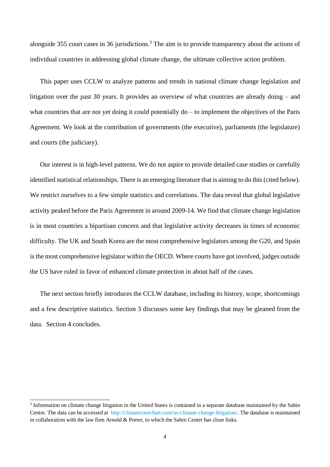alongside 355 court cases in 36 jurisdictions. <sup>3</sup> The aim is to provide transparency about the actions of individual countries in addressing global climate change, the ultimate collective action problem.

This paper uses CCLW to analyze patterns and trends in national climate change legislation and litigation over the past 30 years. It provides an overview of what countries are already doing – and what countries that are not yet doing it could potentially do – to implement the objectives of the Paris Agreement. We look at the contribution of governments (the executive), parliaments (the legislature) and courts (the judiciary).

Our interest is in high-level patterns. We do not aspire to provide detailed case studies or carefully identified statistical relationships. There is an emerging literature that is aiming to do this (cited below). We restrict ourselves to a few simple statistics and correlations. The data reveal that global legislative activity peaked before the Paris Agreement in around 2009-14. We find that climate change legislation is in most countries a bipartisan concern and that legislative activity decreases in times of economic difficulty. The UK and South Korea are the most comprehensive legislators among the G20, and Spain is the most comprehensive legislator within the OECD. Where courts have got involved, judges outside the US have ruled in favor of enhanced climate protection in about half of the cases.

The next section briefly introduces the CCLW database, including its history, scope, shortcomings and a few descriptive statistics. Section 3 discusses some key findings that may be gleaned from the data. Section 4 concludes.

<sup>&</sup>lt;sup>3</sup> Information on climate change litigation in the United States is contained in a separate database maintained by the Sabin Centre. The data can be accessed at [http://climatecasechart.com/us-climate-change-litigation/.](http://climatecasechart.com/us-climate-change-litigation/) The database is maintained in collaboration with the law firm Arnold & Porter, to which the Sabin Center has close links.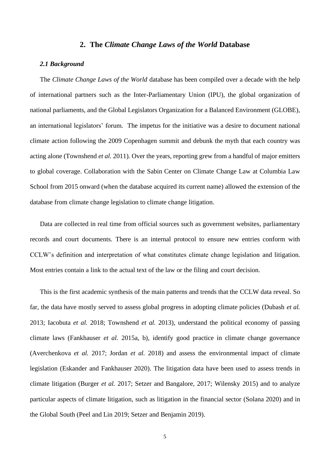## **2. The** *Climate Change Laws of the World* **Database**

## *2.1 Background*

The *Climate Change Laws of the World* database has been compiled over a decade with the help of international partners such as the Inter-Parliamentary Union (IPU), the global organization of national parliaments, and the Global Legislators Organization for a Balanced Environment (GLOBE), an international legislators' forum. The impetus for the initiative was a desire to document national climate action following the 2009 Copenhagen summit and debunk the myth that each country was acting alone (Townshend *et al.* 2011). Over the years, reporting grew from a handful of major emitters to global coverage. Collaboration with the Sabin Center on Climate Change Law at Columbia Law School from 2015 onward (when the database acquired its current name) allowed the extension of the database from climate change legislation to climate change litigation.

Data are collected in real time from official sources such as government websites, parliamentary records and court documents. There is an internal protocol to ensure new entries conform with CCLW's definition and interpretation of what constitutes climate change legislation and litigation. Most entries contain a link to the actual text of the law or the filing and court decision.

This is the first academic synthesis of the main patterns and trends that the CCLW data reveal. So far, the data have mostly served to assess global progress in adopting climate policies (Dubash *et al.* 2013; Iacobuta *et al.* 2018; Townshend *et al.* 2013), understand the political economy of passing climate laws (Fankhauser *et al.* 2015a, b), identify good practice in climate change governance (Averchenkova *et al.* 2017; Jordan *et al.* 2018) and assess the environmental impact of climate legislation (Eskander and Fankhauser 2020). The litigation data have been used to assess trends in climate litigation (Burger *et al.* 2017; Setzer and Bangalore, 2017; Wilensky 2015) and to analyze particular aspects of climate litigation, such as litigation in the financial sector (Solana 2020) and in the Global South (Peel and Lin 2019; Setzer and Benjamin 2019).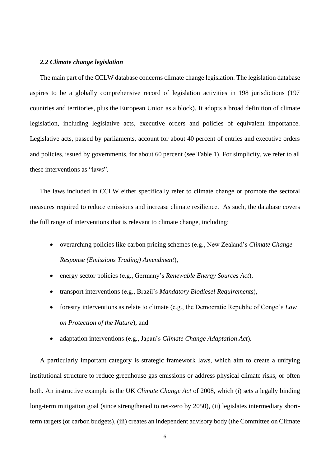#### *2.2 Climate change legislation*

The main part of the CCLW database concerns climate change legislation. The legislation database aspires to be a globally comprehensive record of legislation activities in 198 jurisdictions (197 countries and territories, plus the European Union as a block). It adopts a broad definition of climate legislation, including legislative acts, executive orders and policies of equivalent importance. Legislative acts, passed by parliaments, account for about 40 percent of entries and executive orders and policies, issued by governments, for about 60 percent (see Table 1). For simplicity, we refer to all these interventions as "laws".

The laws included in CCLW either specifically refer to climate change or promote the sectoral measures required to reduce emissions and increase climate resilience. As such, the database covers the full range of interventions that is relevant to climate change, including:

- overarching policies like carbon pricing schemes (e.g., New Zealand's *Climate Change Response (Emissions Trading) Amendment*),
- energy sector policies (e.g., Germany's *Renewable Energy Sources Act*),
- transport interventions (e.g., Brazil's *Mandatory Biodiesel Requirements*),
- forestry interventions as relate to climate (e.g., the Democratic Republic of Congo's *Law on Protection of the Nature*), and
- adaptation interventions (e.g., Japan's *Climate Change Adaptation Act*).

A particularly important category is strategic framework laws, which aim to create a unifying institutional structure to reduce greenhouse gas emissions or address physical climate risks, or often both. An instructive example is the UK *Climate Change Act* of 2008, which (i) sets a legally binding long-term mitigation goal (since strengthened to net-zero by 2050), (ii) legislates intermediary shortterm targets (or carbon budgets), (iii) creates an independent advisory body (the Committee on Climate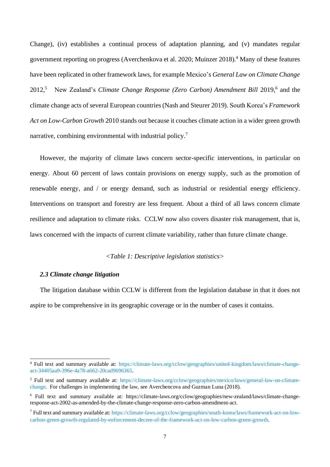Change), (iv) establishes a continual process of adaptation planning, and (v) mandates regular government reporting on progress (Averchenkova et al. 2020; Muinzer 2018).<sup>4</sup> Many of these features have been replicated in other framework laws, for example Mexico's *General Law on Climate Change* 2012,<sup>5</sup> New Zealand's *Climate Change Response (Zero Carbon) Amendment Bill* 2019,<sup>6</sup> and the climate change acts of several European countries (Nash and Steurer 2019). South Korea's *Framework Act on Low-Carbon Growth* 2010 stands out because it couches climate action in a wider green growth narrative, combining environmental with industrial policy.<sup>7</sup>

However, the majority of climate laws concern sector-specific interventions, in particular on energy. About 60 percent of laws contain provisions on energy supply, such as the promotion of renewable energy, and / or energy demand, such as industrial or residential energy efficiency. Interventions on transport and forestry are less frequent. About a third of all laws concern climate resilience and adaptation to climate risks. CCLW now also covers disaster risk management, that is, laws concerned with the impacts of current climate variability, rather than future climate change.

*<Table 1: Descriptive legislation statistics>*

## *2.3 Climate change litigation*

The litigation database within CCLW is different from the legislation database in that it does not aspire to be comprehensive in its geographic coverage or in the number of cases it contains.

<sup>4</sup> Full text and summary available at: [https://climate-laws.org/cclow/geographies/united-kingdom/laws/climate-change](https://climate-laws.org/cclow/geographies/united-kingdom/laws/climate-change-act-34405aa9-396e-4a78-a662-20cad9696365)[act-34405aa9-396e-4a78-a662-20cad9696365.](https://climate-laws.org/cclow/geographies/united-kingdom/laws/climate-change-act-34405aa9-396e-4a78-a662-20cad9696365)

<sup>5</sup> Full text and summary available at: [https://climate-laws.org/cclow/geographies/mexico/laws/general-law-on-climate](https://climate-laws.org/cclow/geographies/mexico/laws/general-law-on-climate-change)[change.](https://climate-laws.org/cclow/geographies/mexico/laws/general-law-on-climate-change) For challenges in implementing the law, see Averchencova and Guzman Luna (2018).

<sup>6</sup> Full text and summary available at: https://climate-laws.org/cclow/geographies/new-zealand/laws/climate-changeresponse-act-2002-as-amended-by-the-climate-change-response-zero-carbon-amendment-act.

<sup>7</sup> Full text and summary available at[: https://climate-laws.org/cclow/geographies/south-korea/laws/framework-act-on-low](https://climate-laws.org/cclow/geographies/south-korea/laws/framework-act-on-low-carbon-green-growth-regulated-by-enforcement-decree-of-the-framework-act-on-low-carbon-green-growth)[carbon-green-growth-regulated-by-enforcement-decree-of-the-framework-act-on-low-carbon-green-growth.](https://climate-laws.org/cclow/geographies/south-korea/laws/framework-act-on-low-carbon-green-growth-regulated-by-enforcement-decree-of-the-framework-act-on-low-carbon-green-growth)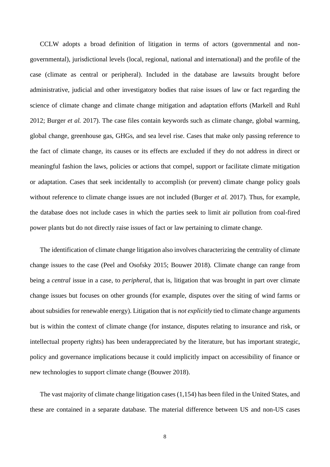CCLW adopts a broad definition of litigation in terms of actors (governmental and nongovernmental), jurisdictional levels (local, regional, national and international) and the profile of the case (climate as central or peripheral). Included in the database are lawsuits brought before administrative, judicial and other investigatory bodies that raise issues of law or fact regarding the science of climate change and climate change mitigation and adaptation efforts (Markell and Ruhl 2012; Burger *et al.* 2017). The case files contain keywords such as climate change, global warming, global change, greenhouse gas, GHGs, and sea level rise. Cases that make only passing reference to the fact of climate change, its causes or its effects are excluded if they do not address in direct or meaningful fashion the laws, policies or actions that compel, support or facilitate climate mitigation or adaptation. Cases that seek incidentally to accomplish (or prevent) climate change policy goals without reference to climate change issues are not included (Burger *et al.* 2017). Thus, for example, the database does not include cases in which the parties seek to limit air pollution from coal-fired power plants but do not directly raise issues of fact or law pertaining to climate change.

The identification of climate change litigation also involves characterizing the centrality of climate change issues to the case (Peel and Osofsky 2015; Bouwer 2018). Climate change can range from being a *central* issue in a case, to *peripheral*, that is, litigation that was brought in part over climate change issues but focuses on other grounds (for example, disputes over the siting of wind farms or about subsidies for renewable energy). Litigation that is *not explicitly* tied to climate change arguments but is within the context of climate change (for instance, disputes relating to insurance and risk, or intellectual property rights) has been underappreciated by the literature, but has important strategic, policy and governance implications because it could implicitly impact on accessibility of finance or new technologies to support climate change (Bouwer 2018).

The vast majority of climate change litigation cases (1,154) has been filed in the United States, and these are contained in a separate database. The material difference between US and non-US cases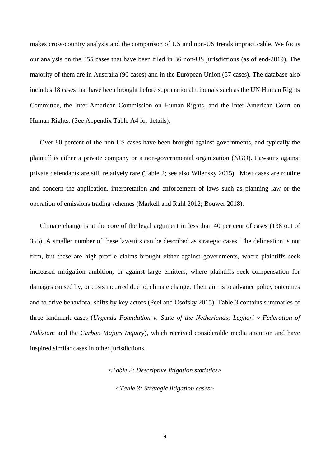makes cross-country analysis and the comparison of US and non-US trends impracticable. We focus our analysis on the 355 cases that have been filed in 36 non-US jurisdictions (as of end-2019). The majority of them are in Australia (96 cases) and in the European Union (57 cases). The database also includes 18 cases that have been brought before supranational tribunals such as the UN Human Rights Committee, the Inter-American Commission on Human Rights, and the Inter-American Court on Human Rights. (See Appendix Table A4 for details).

Over 80 percent of the non-US cases have been brought against governments, and typically the plaintiff is either a private company or a non-governmental organization (NGO). Lawsuits against private defendants are still relatively rare (Table 2; see also Wilensky 2015). Most cases are routine and concern the application, interpretation and enforcement of laws such as planning law or the operation of emissions trading schemes (Markell and Ruhl 2012; Bouwer 2018).

Climate change is at the core of the legal argument in less than 40 per cent of cases (138 out of 355). A smaller number of these lawsuits can be described as strategic cases. The delineation is not firm, but these are high-profile claims brought either against governments, where plaintiffs seek increased mitigation ambition, or against large emitters, where plaintiffs seek compensation for damages caused by, or costs incurred due to, climate change. Their aim is to advance policy outcomes and to drive behavioral shifts by key actors (Peel and Osofsky 2015). Table 3 contains summaries of three landmark cases (*Urgenda Foundation v. State of the Netherlands*; *Leghari v Federation of Pakistan*; and the *Carbon Majors Inquiry*), which received considerable media attention and have inspired similar cases in other jurisdictions.

*<Table 2: Descriptive litigation statistics>*

*<Table 3: Strategic litigation cases>*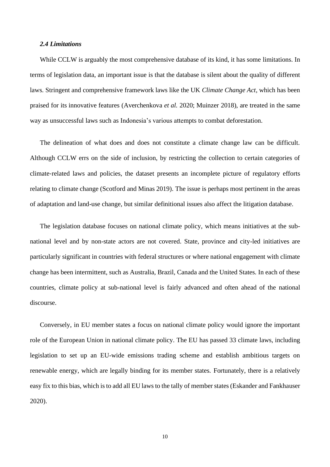## *2.4 Limitations*

While CCLW is arguably the most comprehensive database of its kind, it has some limitations. In terms of legislation data, an important issue is that the database is silent about the quality of different laws. Stringent and comprehensive framework laws like the UK *Climate Change Act*, which has been praised for its innovative features (Averchenkova *et al.* 2020; Muinzer 2018), are treated in the same way as unsuccessful laws such as Indonesia's various attempts to combat deforestation.

The delineation of what does and does not constitute a climate change law can be difficult. Although CCLW errs on the side of inclusion, by restricting the collection to certain categories of climate‐related laws and policies, the dataset presents an incomplete picture of regulatory efforts relating to climate change (Scotford and Minas 2019). The issue is perhaps most pertinent in the areas of adaptation and land-use change, but similar definitional issues also affect the litigation database.

The legislation database focuses on national climate policy, which means initiatives at the subnational level and by non-state actors are not covered. State, province and city-led initiatives are particularly significant in countries with federal structures or where national engagement with climate change has been intermittent, such as Australia, Brazil, Canada and the United States. In each of these countries, climate policy at sub-national level is fairly advanced and often ahead of the national discourse.

Conversely, in EU member states a focus on national climate policy would ignore the important role of the European Union in national climate policy. The EU has passed 33 climate laws, including legislation to set up an EU-wide emissions trading scheme and establish ambitious targets on renewable energy, which are legally binding for its member states. Fortunately, there is a relatively easy fix to this bias, which is to add all EU laws to the tally of member states (Eskander and Fankhauser 2020).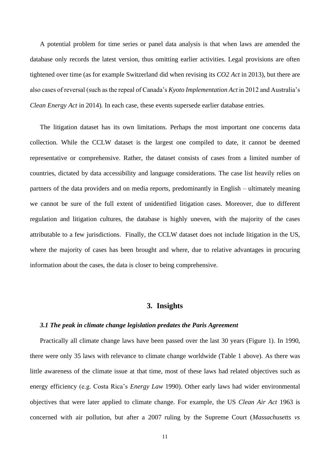A potential problem for time series or panel data analysis is that when laws are amended the database only records the latest version, thus omitting earlier activities. Legal provisions are often tightened over time (as for example Switzerland did when revising its *CO2 Act* in 2013), but there are also cases of reversal (such as the repeal of Canada's *Kyoto Implementation Act* in 2012 and Australia's *Clean Energy Act* in 2014). In each case, these events supersede earlier database entries.

The litigation dataset has its own limitations. Perhaps the most important one concerns data collection. While the CCLW dataset is the largest one compiled to date, it cannot be deemed representative or comprehensive. Rather, the dataset consists of cases from a limited number of countries, dictated by data accessibility and language considerations. The case list heavily relies on partners of the data providers and on media reports, predominantly in English – ultimately meaning we cannot be sure of the full extent of unidentified litigation cases. Moreover, due to different regulation and litigation cultures, the database is highly uneven, with the majority of the cases attributable to a few jurisdictions. Finally, the CCLW dataset does not include litigation in the US, where the majority of cases has been brought and where, due to relative advantages in procuring information about the cases, the data is closer to being comprehensive.

## **3. Insights**

#### *3.1 The peak in climate change legislation predates the Paris Agreement*

Practically all climate change laws have been passed over the last 30 years (Figure 1). In 1990, there were only 35 laws with relevance to climate change worldwide (Table 1 above). As there was little awareness of the climate issue at that time, most of these laws had related objectives such as energy efficiency (e.g. Costa Rica's *Energy Law* 1990). Other early laws had wider environmental objectives that were later applied to climate change. For example, the US *Clean Air Act* 1963 is concerned with air pollution, but after a 2007 ruling by the Supreme Court (*Massachusetts vs*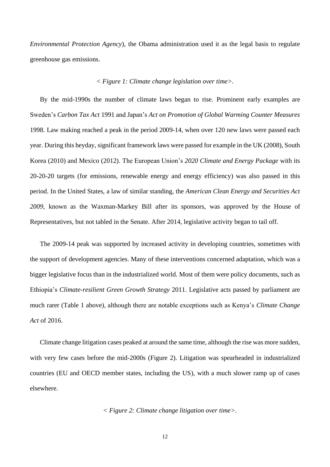*Environmental Protection Agency*), the Obama administration used it as the legal basis to regulate greenhouse gas emissions.

## *< Figure 1: Climate change legislation over time>.*

By the mid-1990s the number of climate laws began to rise. Prominent early examples are Sweden's *Carbon Tax Act* 1991 and Japan's *Act on Promotion of Global Warming Counter Measures*  1998. Law making reached a peak in the period 2009-14, when over 120 new laws were passed each year. During this heyday, significant framework laws were passed for example in the UK (2008), South Korea (2010) and Mexico (2012). The European Union's *2020 Climate and Energy Package* with its 20-20-20 targets (for emissions, renewable energy and energy efficiency) was also passed in this period. In the United States, a law of similar standing, the *American Clean Energy and Securities Act 2009*, known as the Waxman-Markey Bill after its sponsors, was approved by the House of Representatives, but not tabled in the Senate. After 2014, legislative activity began to tail off.

The 2009-14 peak was supported by increased activity in developing countries, sometimes with the support of development agencies. Many of these interventions concerned adaptation, which was a bigger legislative focus than in the industrialized world. Most of them were policy documents, such as Ethiopia's *Climate-resilient Green Growth Strategy* 2011. Legislative acts passed by parliament are much rarer (Table 1 above), although there are notable exceptions such as Kenya's *Climate Change Act* of 2016.

Climate change litigation cases peaked at around the same time, although the rise was more sudden, with very few cases before the mid-2000s (Figure 2). Litigation was spearheaded in industrialized countries (EU and OECD member states, including the US), with a much slower ramp up of cases elsewhere.

$$
<
$$
 Figure 2: Climate change litigation over time $>$ .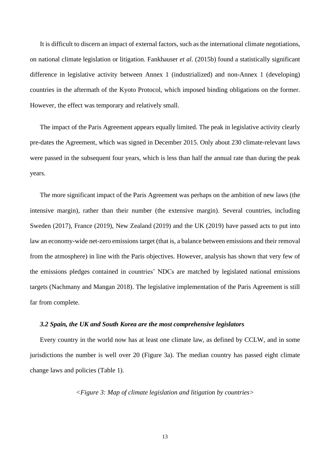It is difficult to discern an impact of external factors, such as the international climate negotiations, on national climate legislation or litigation. Fankhauser *et al.* (2015b) found a statistically significant difference in legislative activity between Annex 1 (industrialized) and non-Annex 1 (developing) countries in the aftermath of the Kyoto Protocol, which imposed binding obligations on the former. However, the effect was temporary and relatively small.

The impact of the Paris Agreement appears equally limited. The peak in legislative activity clearly pre-dates the Agreement, which was signed in December 2015. Only about 230 climate-relevant laws were passed in the subsequent four years, which is less than half the annual rate than during the peak years.

The more significant impact of the Paris Agreement was perhaps on the ambition of new laws (the intensive margin), rather than their number (the extensive margin). Several countries, including Sweden (2017), France (2019), New Zealand (2019) and the UK (2019) have passed acts to put into law an economy-wide net-zero emissions target (that is, a balance between emissions and their removal from the atmosphere) in line with the Paris objectives. However, analysis has shown that very few of the emissions pledges contained in countries' NDCs are matched by legislated national emissions targets (Nachmany and Mangan 2018). The legislative implementation of the Paris Agreement is still far from complete.

## *3.2 Spain, the UK and South Korea are the most comprehensive legislators*

Every country in the world now has at least one climate law, as defined by CCLW, and in some jurisdictions the number is well over 20 (Figure 3a). The median country has passed eight climate change laws and policies (Table 1).

*<Figure 3: Map of climate legislation and litigation by countries>*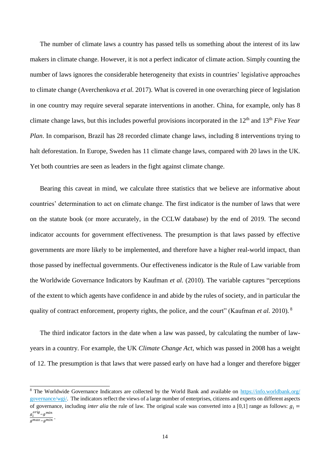The number of climate laws a country has passed tells us something about the interest of its law makers in climate change. However, it is not a perfect indicator of climate action. Simply counting the number of laws ignores the considerable heterogeneity that exists in countries' legislative approaches to climate change (Averchenkova *et al.* 2017). What is covered in one overarching piece of legislation in one country may require several separate interventions in another. China, for example, only has 8 climate change laws, but this includes powerful provisions incorporated in the 12th and 13th *Five Year Plan*. In comparison, Brazil has 28 recorded climate change laws, including 8 interventions trying to halt deforestation. In Europe, Sweden has 11 climate change laws, compared with 20 laws in the UK. Yet both countries are seen as leaders in the fight against climate change.

Bearing this caveat in mind, we calculate three statistics that we believe are informative about countries' determination to act on climate change. The first indicator is the number of laws that were on the statute book (or more accurately, in the CCLW database) by the end of 2019. The second indicator accounts for government effectiveness. The presumption is that laws passed by effective governments are more likely to be implemented, and therefore have a higher real-world impact, than those passed by ineffectual governments. Our effectiveness indicator is the Rule of Law variable from the Worldwide Governance Indicators by Kaufman *et al.* (2010). The variable captures "perceptions of the extent to which agents have confidence in and abide by the rules of society, and in particular the quality of contract enforcement, property rights, the police, and the court" (Kaufman *et al.* 2010).<sup>8</sup>

The third indicator factors in the date when a law was passed, by calculating the number of lawyears in a country. For example, the UK *Climate Change Act,* which was passed in 2008 has a weight of 12. The presumption is that laws that were passed early on have had a longer and therefore bigger

<sup>&</sup>lt;sup>8</sup> The Worldwide Governance Indicators are collected by the World Bank and available on https://info.worldbank.org/ [governance/wgi/.](https://info.worldbank.org/%20governance/wgi/) The indicators reflect the views of a large number of enterprises, citizens and experts on different aspects of governance, including *inter alia* the rule of law. The original scale was converted into a [0,1] range as follows:  $g_i =$  $g_i^{orig}$ – $g^{min}$ 

 $\frac{1}{g^{max}-g^{min}}$ .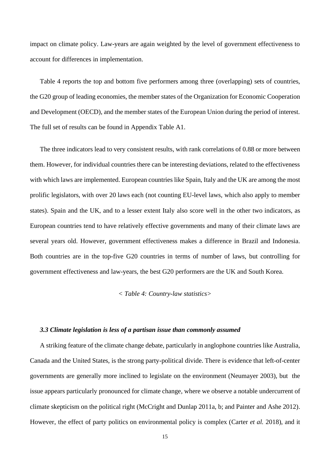impact on climate policy. Law-years are again weighted by the level of government effectiveness to account for differences in implementation.

Table 4 reports the top and bottom five performers among three (overlapping) sets of countries, the G20 group of leading economies, the member states of the Organization for Economic Cooperation and Development (OECD), and the member states of the European Union during the period of interest. The full set of results can be found in Appendix Table A1.

The three indicators lead to very consistent results, with rank correlations of 0.88 or more between them. However, for individual countries there can be interesting deviations, related to the effectiveness with which laws are implemented. European countries like Spain, Italy and the UK are among the most prolific legislators, with over 20 laws each (not counting EU-level laws, which also apply to member states). Spain and the UK, and to a lesser extent Italy also score well in the other two indicators, as European countries tend to have relatively effective governments and many of their climate laws are several years old. However, government effectiveness makes a difference in Brazil and Indonesia. Both countries are in the top-five G20 countries in terms of number of laws, but controlling for government effectiveness and law-years, the best G20 performers are the UK and South Korea.

### *< Table 4: Country-law statistics>*

### *3.3 Climate legislation is less of a partisan issue than commonly assumed*

A striking feature of the climate change debate, particularly in anglophone countries like Australia, Canada and the United States, is the strong party-political divide. There is evidence that left-of-center governments are generally more inclined to legislate on the environment (Neumayer 2003), but the issue appears particularly pronounced for climate change, where we observe a notable undercurrent of climate skepticism on the political right (McCright and Dunlap 2011a, b; and Painter and Ashe 2012). However, the effect of party politics on environmental policy is complex (Carter *et al.* 2018), and it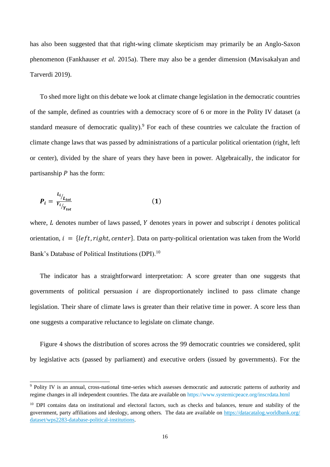has also been suggested that that right-wing climate skepticism may primarily be an Anglo-Saxon phenomenon (Fankhauser *et al.* 2015a). There may also be a gender dimension (Mavisakalyan and Tarverdi 2019).

To shed more light on this debate we look at climate change legislation in the democratic countries of the sample, defined as countries with a democracy score of 6 or more in the Polity IV dataset (a standard measure of democratic quality). $9$  For each of these countries we calculate the fraction of climate change laws that was passed by administrations of a particular political orientation (right, left or center), divided by the share of years they have been in power. Algebraically, the indicator for partisanship  $P$  has the form:

$$
P_i = \frac{L_i}{Y_i}_{Y_{tot}} \tag{1}
$$

where,  $L$  denotes number of laws passed,  $Y$  denotes years in power and subscript  $i$  denotes political orientation,  $i = \{left, right, center\}$ . Data on party-political orientation was taken from the World Bank's Database of Political Institutions (DPI).<sup>10</sup>

The indicator has a straightforward interpretation: A score greater than one suggests that governments of political persuasion  $i$  are disproportionately inclined to pass climate change legislation. Their share of climate laws is greater than their relative time in power. A score less than one suggests a comparative reluctance to legislate on climate change.

Figure 4 shows the distribution of scores across the 99 democratic countries we considered, split by legislative acts (passed by parliament) and executive orders (issued by governments). For the

<sup>9</sup> Polity IV is an annual, cross-national time-series which assesses democratic and autocratic patterns of authority and regime changes in all independent countries. The data are available on<https://www.systemicpeace.org/inscrdata.html>

<sup>&</sup>lt;sup>10</sup> DPI contains data on institutional and electoral factors, such as checks and balances, tenure and stability of the government, party affiliations and ideology, among others. The data are available on [https://datacatalog.worldbank.org/](https://datacatalog.worldbank.org/%20dataset/wps2283-database-political-institutions)  [dataset/wps2283-database-political-institutions.](https://datacatalog.worldbank.org/%20dataset/wps2283-database-political-institutions)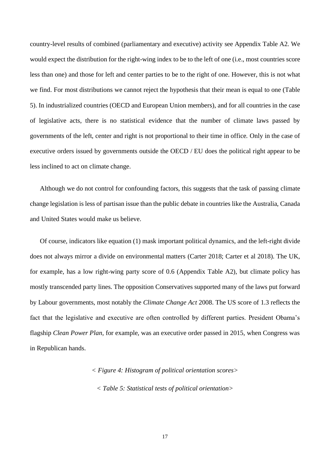country-level results of combined (parliamentary and executive) activity see Appendix Table A2. We would expect the distribution for the right-wing index to be to the left of one (i.e., most countries score less than one) and those for left and center parties to be to the right of one. However, this is not what we find. For most distributions we cannot reject the hypothesis that their mean is equal to one (Table 5). In industrialized countries (OECD and European Union members), and for all countries in the case of legislative acts, there is no statistical evidence that the number of climate laws passed by governments of the left, center and right is not proportional to their time in office. Only in the case of executive orders issued by governments outside the OECD / EU does the political right appear to be less inclined to act on climate change.

Although we do not control for confounding factors, this suggests that the task of passing climate change legislation is less of partisan issue than the public debate in countries like the Australia, Canada and United States would make us believe.

Of course, indicators like equation (1) mask important political dynamics, and the left-right divide does not always mirror a divide on environmental matters (Carter 2018; Carter et al 2018). The UK, for example, has a low right-wing party score of 0.6 (Appendix Table A2), but climate policy has mostly transcended party lines. The opposition Conservatives supported many of the laws put forward by Labour governments, most notably the *Climate Change Act* 2008. The US score of 1.3 reflects the fact that the legislative and executive are often controlled by different parties. President Obama's flagship *Clean Power Plan*, for example, was an executive order passed in 2015, when Congress was in Republican hands.

> *< Figure 4: Histogram of political orientation scores> < Table 5: Statistical tests of political orientation>*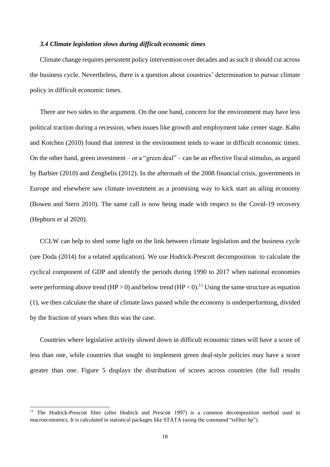## *3.4 Climate legislation slows during difficult economic times*

Climate change requires persistent policy intervention over decades and as such it should cut across the business cycle. Nevertheless, there is a question about countries' determination to pursue climate policy in difficult economic times.

There are two sides to the argument. On the one hand, concern for the environment may have less political traction during a recession, when issues like growth and employment take center stage. Kahn and Kotchen (2010) found that interest in the environment tends to wane in difficult economic times. On the other hand, green investment – or a "green deal" – can be an effective fiscal stimulus, as argued by Barbier (2010) and Zenghelis (2012). In the aftermath of the 2008 financial crisis, governments in Europe and elsewhere saw climate investment as a promising way to kick start an ailing economy (Bowen and Stern 2010). The same call is now being made with respect to the Covid-19 recovery (Hepburn et al 2020).

CCLW can help to shed some light on the link between climate legislation and the business cycle (see Doda (2014) for a related application). We use Hodrick-Prescott decomposition to calculate the cyclical component of GDP and identify the periods during 1990 to 2017 when national economies were performing above trend (HP > 0) and below trend (HP < 0).<sup>11</sup> Using the same structure as equation (1), we then calculate the share of climate laws passed while the economy is underperforming, divided by the fraction of years when this was the case.

Countries where legislative activity slowed down in difficult economic times will have a score of less than one, while countries that sought to implement green deal-style policies may have a score greater than one. Figure 5 displays the distribution of scores across countries (the full results

<sup>&</sup>lt;sup>11</sup> The Hodrick-Prescott filter (after Hodrick and Prescott 1997) is a common decomposition method used in macroeconomics. It is calculated in statistical packages like STATA (using the command "tsfilter hp").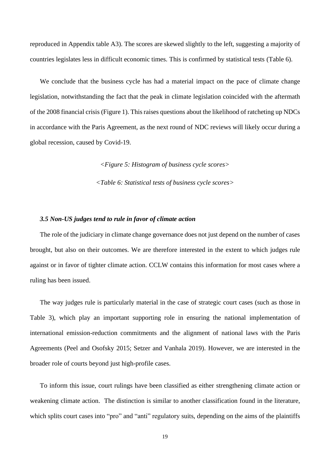reproduced in Appendix table A3). The scores are skewed slightly to the left, suggesting a majority of countries legislates less in difficult economic times. This is confirmed by statistical tests (Table 6).

We conclude that the business cycle has had a material impact on the pace of climate change legislation, notwithstanding the fact that the peak in climate legislation coincided with the aftermath of the 2008 financial crisis (Figure 1). This raises questions about the likelihood of ratcheting up NDCs in accordance with the Paris Agreement, as the next round of NDC reviews will likely occur during a global recession, caused by Covid-19.

*<Figure 5: Histogram of business cycle scores>*

*<Table 6: Statistical tests of business cycle scores>*

### *3.5 Non-US judges tend to rule in favor of climate action*

The role of the judiciary in climate change governance does not just depend on the number of cases brought, but also on their outcomes. We are therefore interested in the extent to which judges rule against or in favor of tighter climate action. CCLW contains this information for most cases where a ruling has been issued.

The way judges rule is particularly material in the case of strategic court cases (such as those in Table 3), which play an important supporting role in ensuring the national implementation of international emission-reduction commitments and the alignment of national laws with the Paris Agreements (Peel and Osofsky 2015; Setzer and Vanhala 2019). However, we are interested in the broader role of courts beyond just high-profile cases.

To inform this issue, court rulings have been classified as either strengthening climate action or weakening climate action. The distinction is similar to another classification found in the literature, which splits court cases into "pro" and "anti" regulatory suits, depending on the aims of the plaintiffs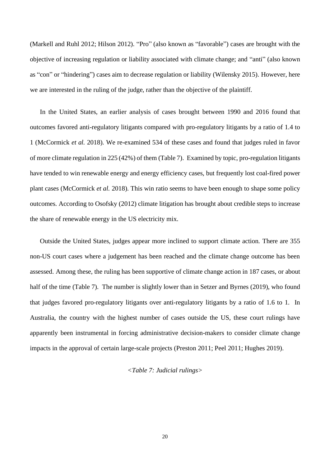(Markell and Ruhl 2012; Hilson 2012). "Pro" (also known as "favorable") cases are brought with the objective of increasing regulation or liability associated with climate change; and "anti" (also known as "con" or "hindering") cases aim to decrease regulation or liability (Wilensky 2015). However, here we are interested in the ruling of the judge, rather than the objective of the plaintiff.

In the United States, an earlier analysis of cases brought between 1990 and 2016 found that outcomes favored anti-regulatory litigants compared with pro-regulatory litigants by a ratio of 1.4 to 1 (McCormick *et al.* 2018). We re-examined 534 of these cases and found that judges ruled in favor of more climate regulation in 225 (42%) of them (Table 7). Examined by topic, pro-regulation litigants have tended to win renewable energy and energy efficiency cases, but frequently lost coal-fired power plant cases (McCormick *et al.* 2018). This win ratio seems to have been enough to shape some policy outcomes. According to Osofsky (2012) climate litigation has brought about credible steps to increase the share of renewable energy in the US electricity mix.

Outside the United States, judges appear more inclined to support climate action. There are 355 non-US court cases where a judgement has been reached and the climate change outcome has been assessed. Among these, the ruling has been supportive of climate change action in 187 cases, or about half of the time (Table 7). The number is slightly lower than in Setzer and Byrnes (2019), who found that judges favored pro-regulatory litigants over anti-regulatory litigants by a ratio of 1.6 to 1. In Australia, the country with the highest number of cases outside the US, these court rulings have apparently been instrumental in forcing administrative decision-makers to consider climate change impacts in the approval of certain large-scale projects (Preston 2011; Peel 2011; Hughes 2019).

## *<Table 7: Judicial rulings>*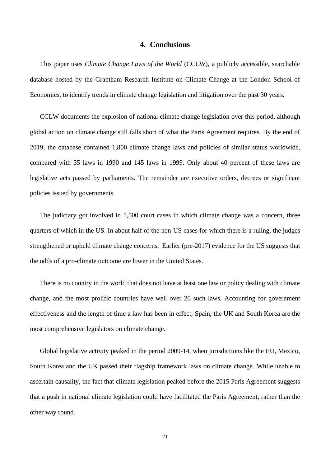## **4. Conclusions**

This paper uses *Climate Change Laws of the World* (CCLW), a publicly accessible, searchable database hosted by the Grantham Research Institute on Climate Change at the London School of Economics, to identify trends in climate change legislation and litigation over the past 30 years.

CCLW documents the explosion of national climate change legislation over this period, although global action on climate change still falls short of what the Paris Agreement requires. By the end of 2019, the database contained 1,800 climate change laws and policies of similar status worldwide, compared with 35 laws in 1990 and 145 laws in 1999. Only about 40 percent of these laws are legislative acts passed by parliaments. The remainder are executive orders, decrees or significant policies issued by governments.

The judiciary got involved in 1,500 court cases in which climate change was a concern, three quarters of which in the US. In about half of the non-US cases for which there is a ruling, the judges strengthened or upheld climate change concerns. Earlier (pre-2017) evidence for the US suggests that the odds of a pro-climate outcome are lower in the United States.

There is no country in the world that does not have at least one law or policy dealing with climate change, and the most prolific countries have well over 20 such laws. Accounting for government effectiveness and the length of time a law has been in effect, Spain, the UK and South Korea are the most comprehensive legislators on climate change.

Global legislative activity peaked in the period 2009-14, when jurisdictions like the EU, Mexico, South Korea and the UK passed their flagship framework laws on climate change. While unable to ascertain causality, the fact that climate legislation peaked before the 2015 Paris Agreement suggests that a push in national climate legislation could have facilitated the Paris Agreement, rather than the other way round.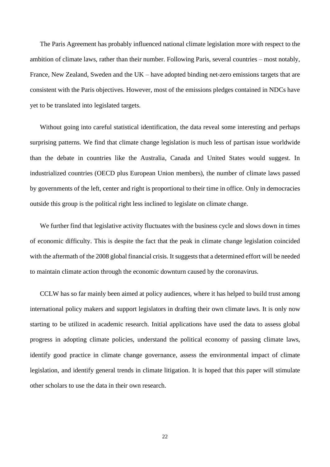The Paris Agreement has probably influenced national climate legislation more with respect to the ambition of climate laws, rather than their number. Following Paris, several countries – most notably, France, New Zealand, Sweden and the UK – have adopted binding net-zero emissions targets that are consistent with the Paris objectives. However, most of the emissions pledges contained in NDCs have yet to be translated into legislated targets.

Without going into careful statistical identification, the data reveal some interesting and perhaps surprising patterns. We find that climate change legislation is much less of partisan issue worldwide than the debate in countries like the Australia, Canada and United States would suggest. In industrialized countries (OECD plus European Union members), the number of climate laws passed by governments of the left, center and right is proportional to their time in office. Only in democracies outside this group is the political right less inclined to legislate on climate change.

We further find that legislative activity fluctuates with the business cycle and slows down in times of economic difficulty. This is despite the fact that the peak in climate change legislation coincided with the aftermath of the 2008 global financial crisis. It suggests that a determined effort will be needed to maintain climate action through the economic downturn caused by the coronavirus.

CCLW has so far mainly been aimed at policy audiences, where it has helped to build trust among international policy makers and support legislators in drafting their own climate laws. It is only now starting to be utilized in academic research. Initial applications have used the data to assess global progress in adopting climate policies, understand the political economy of passing climate laws, identify good practice in climate change governance, assess the environmental impact of climate legislation, and identify general trends in climate litigation. It is hoped that this paper will stimulate other scholars to use the data in their own research.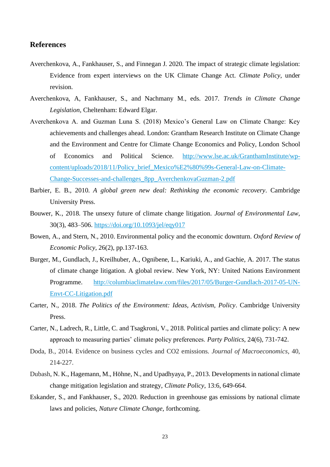## **References**

- Averchenkova, A., Fankhauser, S., and Finnegan J. 2020. The impact of strategic climate legislation: Evidence from expert interviews on the UK Climate Change Act. *Climate Policy*, under revision.
- Averchenkova, A, Fankhauser, S., and Nachmany M., eds. 2017. *Trends in Climate Change Legislation*, Cheltenham: Edward Elgar.
- Averchenkova A. and Guzman Luna S. (2018) Mexico's General Law on Climate Change: Key achievements and challenges ahead. London: Grantham Research Institute on Climate Change and the Environment and Centre for Climate Change Economics and Policy, London School of Economics and Political Science. [http://www.lse.ac.uk/GranthamInstitute/wp](http://www.lse.ac.uk/GranthamInstitute/wp-content/uploads/2018/11/Policy_brief_Mexico%E2%80%99s-General-Law-on-Climate-Change-Successes-and-challenges_8pp_AverchenkovaGuzman-2.pdf)[content/uploads/2018/11/Policy\\_brief\\_Mexico%E2%80%99s-General-Law-on-Climate-](http://www.lse.ac.uk/GranthamInstitute/wp-content/uploads/2018/11/Policy_brief_Mexico%E2%80%99s-General-Law-on-Climate-Change-Successes-and-challenges_8pp_AverchenkovaGuzman-2.pdf)[Change-Successes-and-challenges\\_8pp\\_AverchenkovaGuzman-2.pdf](http://www.lse.ac.uk/GranthamInstitute/wp-content/uploads/2018/11/Policy_brief_Mexico%E2%80%99s-General-Law-on-Climate-Change-Successes-and-challenges_8pp_AverchenkovaGuzman-2.pdf)
- Barbier, E. B., 2010. *A global green new deal: Rethinking the economic recovery*. Cambridge University Press.
- Bouwer, K., 2018. The unsexy future of climate change litigation. *Journal of Environmental Law*, 30(3), 483–506.<https://doi.org/10.1093/jel/eqy017>
- Bowen, A., and Stern, N., 2010. Environmental policy and the economic downturn. *Oxford Review of Economic Policy*, 26(2), pp.137-163.
- Burger, M., Gundlach, J., Kreilhuber, A., Ognibene, L., Kariuki, A., and Gachie, A. 2017. The status of climate change litigation. A global review. New York, NY: United Nations Environment Programme. [http://columbiaclimatelaw.com/files/2017/05/Burger-Gundlach-2017-05-UN-](http://columbiaclimatelaw.com/files/2017/05/Burger-Gundlach-2017-05-UN-Envt-CC-Litigation.pdf)[Envt-CC-Litigation.pdf](http://columbiaclimatelaw.com/files/2017/05/Burger-Gundlach-2017-05-UN-Envt-CC-Litigation.pdf)
- Carter, N., 2018. *The Politics of the Environment: Ideas, Activism, Policy*. Cambridge University Press.
- Carter, N., Ladrech, R., Little, C. and Tsagkroni, V., 2018. Political parties and climate policy: A new approach to measuring parties' climate policy preferences. *Party Politics*, 24(6), 731-742.
- Doda, B., 2014. Evidence on business cycles and CO2 emissions. *Journal of Macroeconomics*, 40, 214-227.
- Dubash, N. K., Hagemann, M., Höhne, N., and Upadhyaya, P., 2013. Developments in national climate change mitigation legislation and strategy, *Climate Policy*, 13:6, 649-664.
- Eskander, S., and Fankhauser, S., 2020. Reduction in greenhouse gas emissions by national climate laws and policies, *Nature Climate Change*, forthcoming.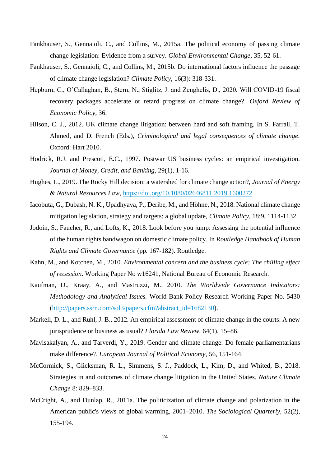- Fankhauser, S., Gennaioli, C., and Collins, M., 2015a. The political economy of passing climate change legislation: Evidence from a survey. *Global Environmental Change*, 35, 52-61.
- Fankhauser, S., Gennaioli, C., and Collins, M., 2015b. Do international factors influence the passage of climate change legislation? *Climate Policy*, 16(3): 318-331.
- Hepburn, C., O'Callaghan, B., Stern, N., Stiglitz, J. and Zenghelis, D., 2020. Will COVID-19 fiscal recovery packages accelerate or retard progress on climate change?. *Oxford Review of Economic Policy*, 36.
- Hilson, C. J., 2012. UK climate change litigation: between hard and soft framing. In S. Farrall, T. Ahmed, and D. French (Eds.), *Criminological and legal consequences of climate change*. Oxford: Hart 2010.
- Hodrick, R.J. and Prescott, E.C., 1997. Postwar US business cycles: an empirical investigation. *Journal of Money, Credit, and Banking*, 29(1), 1-16.
- Hughes, L., 2019. The Rocky Hill decision: a watershed for climate change action?, *Journal of Energy & Natural Resources Law*,<https://doi.org/10.1080/02646811.2019.1600272>
- Iacobuta, G., Dubash, N. K., Upadhyaya, P., Deribe, M., and Höhne, N., 2018. National climate change mitigation legislation, strategy and targets: a global update, *Climate Policy*, 18:9, 1114-1132.
- Jodoin, S., Faucher, R., and Lofts, K., 2018. Look before you jump: Assessing the potential influence of the human rights bandwagon on domestic climate policy. In *Routledge Handbook of Human Rights and Climate Governance* (pp. 167-182). Routledge.
- Kahn, M., and Kotchen, M., 2010. *Environmental concern and the business cycle: The chilling effect of recession*. Working Paper No w16241, National Bureau of Economic Research.
- Kaufman, D., Kraay, A., and Mastruzzi, M., 2010. *The Worldwide Governance Indicators: Methodology and Analytical Issues.* World Bank Policy Research Working Paper No. 5430 [\(http://papers.ssrn.com/sol3/papers.cfm?abstract\\_id=1682130\)](http://papers.ssrn.com/sol3/papers.cfm?abstract_id=1682130).
- Markell, D. L., and Ruhl, J. B., 2012. An empirical assessment of climate change in the courts: A new jurisprudence or business as usual? *Florida Law Review*, 64(1), 15–86.
- Mavisakalyan, A., and Tarverdi, Y., 2019. Gender and climate change: Do female parliamentarians make difference?. *European Journal of Political Economy*, 56, 151-164.
- McCormick, S., Glicksman, R. L., Simmens, S. J., Paddock, L., Kim, D., and Whited, B., 2018. Strategies in and outcomes of climate change litigation in the United States. *Nature Climate Change* 8: 829–833.
- McCright, A., and Dunlap, R., 2011a. The politicization of climate change and polarization in the American public's views of global warming, 2001–2010. *The Sociological Quarterly*, 52(2), 155-194.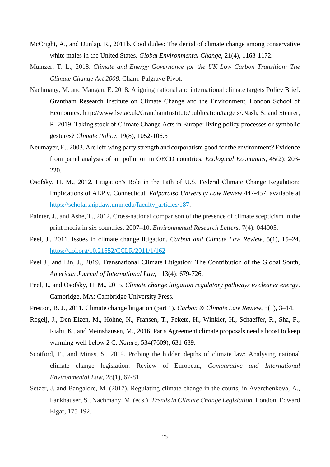- McCright, A., and Dunlap, R., 2011b. Cool dudes: The denial of climate change among conservative white males in the United States. *Global Environmental Change*, 21(4), 1163-1172.
- Muinzer, T. L., 2018. *Climate and Energy Governance for the UK Low Carbon Transition: The Climate Change Act 2008.* Cham: Palgrave Pivot.
- Nachmany, M. and Mangan. E. 2018. Aligning national and international climate targets Policy Brief. Grantham Research Institute on Climate Change and the Environment, London School of Economics. http://www.lse.ac.uk/GranthamInstitute/publication/targets/.Nash, S. and Steurer, R. 2019. Taking stock of Climate Change Acts in Europe: living policy processes or symbolic gestures? *Climate Policy*. 19(8), 1052-106.5
- Neumayer, E., 2003. Are left-wing party strength and corporatism good for the environment? Evidence from panel analysis of air pollution in OECD countries, *Ecological Economics*, 45(2): 203- 220.
- Osofsky, H. M., 2012. Litigation's Role in the Path of U.S. Federal Climate Change Regulation: Implications of AEP v. Connecticut. *Valparaiso University Law Review* 447-457, available at [https://scholarship.law.umn.edu/faculty\\_articles/187.](https://scholarship.law.umn.edu/faculty_articles/187)
- Painter, J., and Ashe, T., 2012. Cross-national comparison of the presence of climate scepticism in the print media in six countries, 2007–10. *Environmental Research Letters*, 7(4): 044005.
- Peel, J., 2011. Issues in climate change litigation. *Carbon and Climate Law Review*, 5(1), 15–24. <https://doi.org/10.21552/CCLR/2011/1/162>
- Peel J., and Lin, J., 2019. Transnational Climate Litigation: The Contribution of the Global South, *American Journal of International Law*, 113(4): 679-726.
- Peel, J., and Osofsky, H. M., 2015. *Climate change litigation regulatory pathways to cleaner energy*. Cambridge, MA: Cambridge University Press.
- Preston, B. J., 2011. Climate change litigation (part 1). *Carbon & Climate Law Review*, 5(1), 3–14.
- Rogelj, J., Den Elzen, M., Höhne, N., Fransen, T., Fekete, H., Winkler, H., Schaeffer, R., Sha, F., Riahi, K., and Meinshausen, M., 2016. Paris Agreement climate proposals need a boost to keep warming well below 2 C. *Nature*, 534(7609), 631-639.
- Scotford, E., and Minas, S., 2019. Probing the hidden depths of climate law: Analysing national climate change legislation. Review of European, *Comparative and International Environmental Law*, 28(1), 67-81.
- Setzer, J. and Bangalore, M. (2017). Regulating climate change in the courts, in Averchenkova, A., Fankhauser, S., Nachmany, M. (eds.). *Trends in Climate Change Legislation*. London, Edward Elgar, 175-192.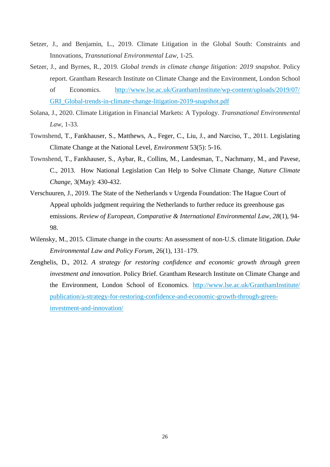- Setzer, J., and Benjamin, L., 2019. Climate Litigation in the Global South: Constraints and Innovations, *Transnational Environmental Law,* 1-25.
- Setzer, J., and Byrnes, R., 2019. *Global trends in climate change litigation: 2019 snapshot*. Policy report. Grantham Research Institute on Climate Change and the Environment, London School of Economics. [http://www.lse.ac.uk/GranthamInstitute/wp-content/uploads/2019/07/](http://www.lse.ac.uk/GranthamInstitute/wp-content/uploads/2019/07/%20GRI_Global-trends-in-climate-change-litigation-2019-snapshot.pdf)  [GRI\\_Global-trends-in-climate-change-litigation-2019-snapshot.pdf](http://www.lse.ac.uk/GranthamInstitute/wp-content/uploads/2019/07/%20GRI_Global-trends-in-climate-change-litigation-2019-snapshot.pdf)
- Solana, J., 2020. Climate Litigation in Financial Markets: A Typology. *Transnational Environmental Law,* 1-33.
- Townshend, T., Fankhauser, S., Matthews, A., Feger, C., Liu, J., and Narciso, T., 2011. Legislating Climate Change at the National Level, *Environment* 53(5): 5-16.
- Townshend, T., Fankhauser, S., Aybar, R., Collins, M., Landesman, T., Nachmany, M., and Pavese, C., 2013. How National Legislation Can Help to Solve Climate Change, *Nature Climate Change*, 3(May): 430-432.
- Verschuuren, J., 2019. The State of the Netherlands v Urgenda Foundation: The Hague Court of Appeal upholds judgment requiring the Netherlands to further reduce its greenhouse gas emissions. *Review of European, Comparative & International Environmental Law*, *28*(1), 94- 98.
- Wilensky, M., 2015. Climate change in the courts: An assessment of non-U.S. climate litigation. *Duke Environmental Law and Policy Forum*, 26(1), 131–179.
- Zenghelis, D., 2012. *A strategy for restoring confidence and economic growth through green investment and innovation*. Policy Brief. Grantham Research Institute on Climate Change and the Environment, London School of Economics. [http://www.lse.ac.uk/GranthamInstitute/](http://www.lse.ac.uk/GranthamInstitute/%20publication/a-strategy-for-restoring-confidence-and-economic-growth-through-green-investment-and-innovation/)  [publication/a-strategy-for-restoring-confidence-and-economic-growth-through-green](http://www.lse.ac.uk/GranthamInstitute/%20publication/a-strategy-for-restoring-confidence-and-economic-growth-through-green-investment-and-innovation/)[investment-and-innovation/](http://www.lse.ac.uk/GranthamInstitute/%20publication/a-strategy-for-restoring-confidence-and-economic-growth-through-green-investment-and-innovation/)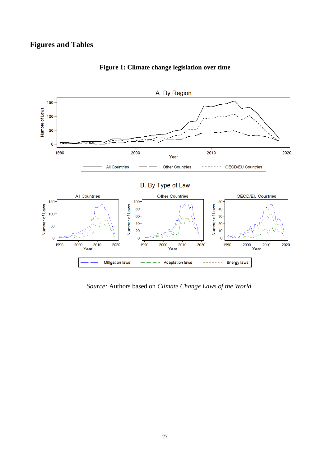## **Figures and Tables**



**Figure 1: Climate change legislation over time**

*Source:* Authors based on *Climate Change Laws of the World.*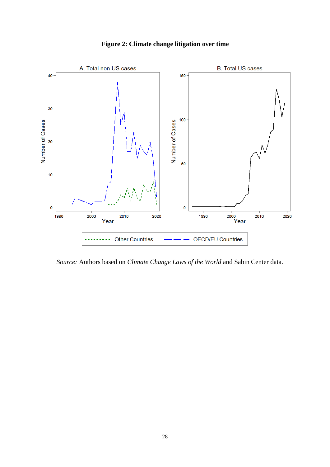

**Figure 2: Climate change litigation over time**

*Source:* Authors based on *Climate Change Laws of the World* and Sabin Center data.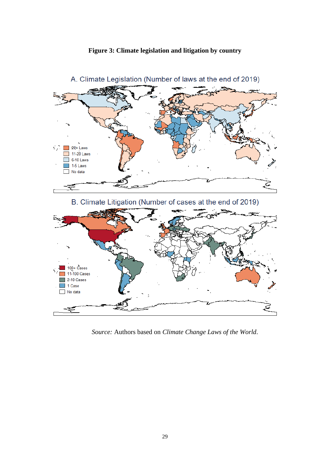



A. Climate Legislation (Number of laws at the end of 2019)

*Source:* Authors based on *Climate Change Laws of the World*.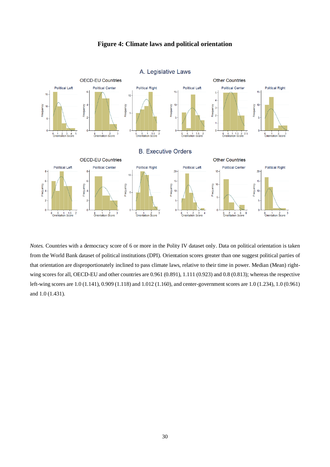

## **Figure 4: Climate laws and political orientation**

*Notes.* Countries with a democracy score of 6 or more in the Polity IV dataset only. Data on political orientation is taken from the World Bank dataset of political institutions (DPI). Orientation scores greater than one suggest political parties of that orientation are disproportionately inclined to pass climate laws, relative to their time in power. Median (Mean) rightwing scores for all, OECD-EU and other countries are 0.961 (0.891), 1.111 (0.923) and 0.8 (0.813); whereas the respective left-wing scores are 1.0 (1.141), 0.909 (1.118) and 1.012 (1.160), and center-government scores are 1.0 (1.234), 1.0 (0.961) and 1.0 (1.431).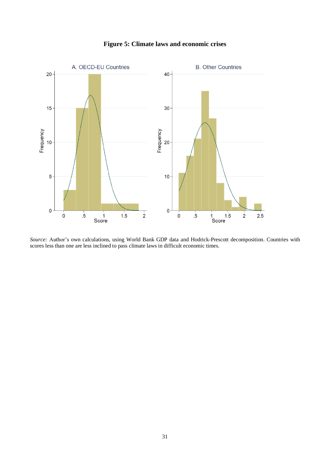

**Figure 5: Climate laws and economic crises**

*Source:* Author's own calculations, using World Bank GDP data and Hodrick-Prescott decomposition. Countries with scores less than one are less inclined to pass climate laws in difficult economic times.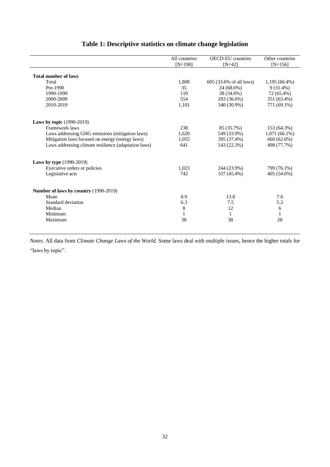|                                                      | All countries | <b>OECD-EU</b> countries | Other countries |
|------------------------------------------------------|---------------|--------------------------|-----------------|
|                                                      | $[N=198]$     | $[N=42]$                 | $[N=156]$       |
|                                                      |               |                          |                 |
| <b>Total number of laws</b>                          |               |                          |                 |
| Total                                                | 1,800         | 605 (33.6% of all laws)  | $1,195(66.4\%)$ |
| Pre-1990                                             | 35            | 24 (68.6%)               | $9(31.4\%)$     |
| 1990-1999                                            | 110           | 38 (34.6%)               | 72 (65.4%)      |
| 2000-2009                                            | 554           | 203 (36.6%)              | 351 (63.4%)     |
| 2010-2019                                            | 1,101         | 340 (30.9%)              | 771 (69.1%)     |
|                                                      |               |                          |                 |
| <b>Laws by topic</b> (1990-2019)                     |               |                          |                 |
| Framework laws                                       | 238           | 85 (35.7%)               | 153 (64.3%)     |
| Laws addressing GHG emissions (mitigation laws)      | 1,620         | 549 (33.9%)              | $1,071(66.1\%)$ |
| Mitigation laws focused on energy (energy laws)      | 1,055         | 395 (37.4%)              | 660 (62.6%)     |
| Laws addressing climate resilience (adaptation laws) | 641           | 143 (22.3%)              | 498 (77.7%)     |
|                                                      |               |                          |                 |
| <b>Laws by type</b> (1990-2019)                      |               |                          |                 |
| Executive orders or policies                         | 1,023         | 244 (23.9%)              | 799 (76.1%)     |
| Legislative acts                                     | 742           | 337 (45.4%)              | 405 (54.6%)     |
|                                                      |               |                          |                 |
| Number of laws by country (1990-2019)                |               |                          |                 |
| Mean                                                 | 8.9           | 13.8                     | 7.6             |
| Standard deviation                                   | 6.3           | 7.5                      | 5.2             |
| Median                                               | 8             | 12                       | 6               |
| Minimum                                              | $\mathbf{1}$  | $\mathbf{1}$             | $\mathbf{1}$    |
| Maximum                                              | 38            | 38                       | 28              |

## **Table 1: Descriptive statistics on climate change legislation**

*Notes.* All data from *Climate Change Laws of the World*. Some laws deal with multiple issues, hence the higher totals for "laws by topic".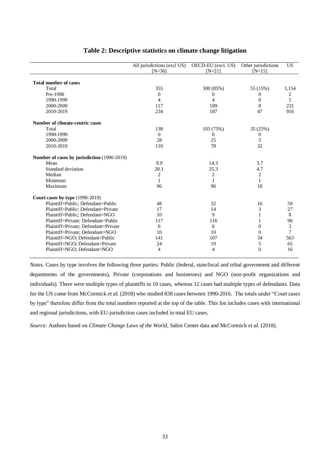|                                             | All jurisdictions (excl US)<br>$[N=36]$ | OECD-EU (excl. US)<br>$[N=21]$ | Other jurisdictions<br>$[N=15]$ | <b>US</b>      |
|---------------------------------------------|-----------------------------------------|--------------------------------|---------------------------------|----------------|
| <b>Total number of cases</b>                |                                         |                                |                                 |                |
| Total                                       | 355                                     | 300 (85%)                      | 55 (15%)                        | 1,154          |
| Pre-1990                                    | $\overline{0}$                          | $\overline{0}$                 | $\Omega$                        | 2              |
| 1990-1999                                   | 4                                       | 4                              | $\Omega$                        | 5              |
| 2000-2009                                   | 117                                     | 109                            | 8                               | 231            |
| 2010-2019                                   | 234                                     | 187                            | 47                              | 916            |
| Number of climate-centric cases             |                                         |                                |                                 |                |
| Total                                       | 138                                     | 103 (75%)                      | 35 (25%)                        |                |
| 1990-1999                                   | $\Omega$                                | 0                              | 0                               |                |
| 2000-2009                                   | 28                                      | 25                             | 3                               |                |
| 2010-2019                                   | 110                                     | 78                             | 32                              |                |
| Number of cases by jurisdiction (1990-2019) |                                         |                                |                                 |                |
| Mean                                        | 9.9                                     | 14.3                           | 3.7                             |                |
| Standard deviation                          | 20.1                                    | 25.3                           | 4.7                             |                |
| Median                                      | $\overline{c}$                          | $\overline{c}$                 | $\overline{c}$                  |                |
| Minimum                                     | 1                                       | 1                              | $\mathbf{1}$                    |                |
| Maximum                                     | 96                                      | 96                             | 18                              |                |
| <b>Court cases by type (1990-2019)</b>      |                                         |                                |                                 |                |
| Plaintiff=Public; Defendant=Public          | 48                                      | 32                             | 16                              | 59             |
| Plaintiff=Public; Defendant=Private         | 17                                      | 14                             | 3                               | 27             |
| Plaintiff=Public; Defendant=NGO             | 10                                      | 9                              | 1                               | 8              |
| Plaintiff=Private; Defendant=Public         | 117                                     | 116                            | 1                               | 90             |
| Plaintiff=Private; Defendant=Private        | 6                                       | 6                              | $\Omega$                        | $\mathfrak{Z}$ |
| Plaintiff=Private; Defendant=NGO            | 10                                      | 10                             | $\Omega$                        | 7              |
| Plaintiff=NGO; Defendant=Public             | 141                                     | 107                            | 34                              | 563            |
| Plaintiff=NGO; Defendant=Private            | 24                                      | 19                             | 5                               | 65             |
| Plaintiff=NGO; Defendant=NGO                | 4                                       | 4                              | $\overline{0}$                  | 16             |

## **Table 2: Descriptive statistics on climate change litigation**

*Notes.* Cases by type involves the following three parties: Public (federal, state/local and tribal government and different departments of the governments), Private (corporations and businesses) and NGO (non-profit organizations and individuals). There were multiple types of plaintiffs in 10 cases, whereas 12 cases had multiple types of defendants. Data for the US come from McCormick *et al.* (2018) who studied 838 cases between 1990-2016. The totals under "Court cases by type" therefore differ from the total numbers reported at the top of the table. This list includes cases with international and regional jurisdictions, with EU-jurisdiction cases included in total EU cases.

*Source:* Authors based on *Climate Change Laws of the World,* Sabin Center data and McCormick *et al.* (2018).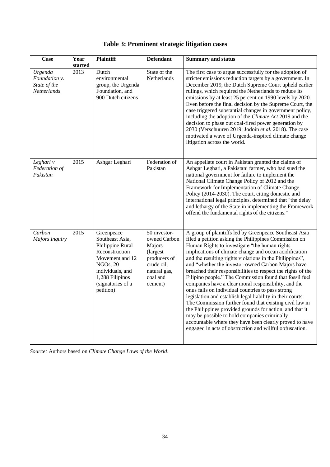| Case                                                    | Year    | <b>Plaintiff</b>                                                                                                                                                            | <b>Defendant</b>                                                                                                         | <b>Summary and status</b>                                                                                                                                                                                                                                                                                                                                                                                                                                                                                                                                                                                                                                                                                                                                                                                                                                                                                                                       |
|---------------------------------------------------------|---------|-----------------------------------------------------------------------------------------------------------------------------------------------------------------------------|--------------------------------------------------------------------------------------------------------------------------|-------------------------------------------------------------------------------------------------------------------------------------------------------------------------------------------------------------------------------------------------------------------------------------------------------------------------------------------------------------------------------------------------------------------------------------------------------------------------------------------------------------------------------------------------------------------------------------------------------------------------------------------------------------------------------------------------------------------------------------------------------------------------------------------------------------------------------------------------------------------------------------------------------------------------------------------------|
|                                                         | started |                                                                                                                                                                             |                                                                                                                          |                                                                                                                                                                                                                                                                                                                                                                                                                                                                                                                                                                                                                                                                                                                                                                                                                                                                                                                                                 |
| Urgenda<br>Foundation v.<br>State of the<br>Netherlands | 2013    | Dutch<br>environmental<br>group, the Urgenda<br>Foundation, and<br>900 Dutch citizens                                                                                       | State of the<br>Netherlands                                                                                              | The first case to argue successfully for the adoption of<br>stricter emissions reduction targets by a government. In<br>December 2019, the Dutch Supreme Court upheld earlier<br>rulings, which required the Netherlands to reduce its<br>emissions by at least 25 percent on 1990 levels by 2020.<br>Even before the final decision by the Supreme Court, the<br>case triggered substantial changes in government policy,<br>including the adoption of the Climate Act 2019 and the<br>decision to phase out coal-fired power generation by<br>2030 (Verschuuren 2019; Jodoin et al. 2018). The case<br>motivated a wave of Urgenda-inspired climate change<br>litigation across the world.                                                                                                                                                                                                                                                    |
| Leghari v<br>Federation of<br>Pakistan                  | 2015    | Ashgar Leghari                                                                                                                                                              | Federation of<br>Pakistan                                                                                                | An appellate court in Pakistan granted the claims of<br>Ashgar Leghari, a Pakistani farmer, who had sued the<br>national government for failure to implement the<br>National Climate Change Policy of 2012 and the<br>Framework for Implementation of Climate Change<br>Policy (2014-2030). The court, citing domestic and<br>international legal principles, determined that "the delay<br>and lethargy of the State in implementing the Framework<br>offend the fundamental rights of the citizens."                                                                                                                                                                                                                                                                                                                                                                                                                                          |
| Carbon<br>Majors Inquiry                                | 2015    | Greenpeace<br>Southeast Asia,<br>Philippine Rural<br>Reconstruction<br>Movement and 12<br>NGOs, 20<br>individuals, and<br>1,288 Filipinos<br>(signatories of a<br>petition) | 50 investor-<br>owned Carbon<br>Majors<br>(largest)<br>producers of<br>crude oil,<br>natural gas,<br>coal and<br>cement) | A group of plaintiffs led by Greenpeace Southeast Asia<br>filed a petition asking the Philippines Commission on<br>Human Rights to investigate "the human rights<br>implications of climate change and ocean acidification<br>and the resulting rights violations in the Philippines",<br>and "whether the investor-owned Carbon Majors have<br>breached their responsibilities to respect the rights of the<br>Filipino people." The Commission found that fossil fuel<br>companies have a clear moral responsibility, and the<br>onus falls on individual countries to pass strong<br>legislation and establish legal liability in their courts.<br>The Commission further found that existing civil law in<br>the Philippines provided grounds for action, and that it<br>may be possible to hold companies criminally<br>accountable where they have been clearly proved to have<br>engaged in acts of obstruction and willful obfuscation. |

|  | Table 3: Prominent strategic litigation cases |  |  |  |
|--|-----------------------------------------------|--|--|--|
|--|-----------------------------------------------|--|--|--|

*Source:* Authors based on *Climate Change Laws of the World*.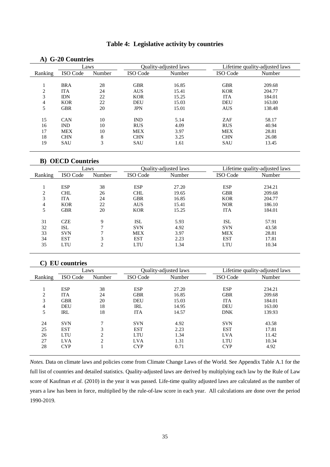## **Table 4: Legislative activity by countries**

### **A) G-20 Countries**

|               |            | Laws   |            | Quality-adjusted laws |            | Lifetime quality-adjusted laws |
|---------------|------------|--------|------------|-----------------------|------------|--------------------------------|
| Ranking       | ISO Code   | Number | ISO Code   | Number                | ISO Code   | Number                         |
|               |            |        |            |                       |            |                                |
|               | <b>BRA</b> | 28     | <b>GBR</b> | 16.85                 | <b>GBR</b> | 209.68                         |
| $\mathcal{L}$ | <b>ITA</b> | 24     | <b>AUS</b> | 15.41                 | <b>KOR</b> | 204.77                         |
| 3             | <b>IDN</b> | 22     | <b>KOR</b> | 15.25                 | <b>ITA</b> | 184.01                         |
| 4             | <b>KOR</b> | 22     | <b>DEU</b> | 15.03                 | <b>DEU</b> | 163.00                         |
| 5             | <b>GBR</b> | 20     | <b>JPN</b> | 15.01                 | <b>AUS</b> | 138.48                         |
|               |            |        |            |                       |            |                                |
| 15            | <b>CAN</b> | 10     | <b>IND</b> | 5.14                  | ZAF        | 58.17                          |
| 16            | <b>IND</b> | 10     | <b>RUS</b> | 4.09                  | <b>RUS</b> | 40.94                          |
| 17            | <b>MEX</b> | 10     | <b>MEX</b> | 3.97                  | <b>MEX</b> | 28.81                          |
| 18            | <b>CHN</b> | 8      | <b>CHN</b> | 3.25                  | <b>CHN</b> | 26.08                          |
| 19            | <b>SAU</b> | 3      | <b>SAU</b> | 1.61                  | SAU        | 13.45                          |

### **B) OECD Countries**

|                |            | Laws   |                 | Ouality-adjusted laws |            | Lifetime quality-adjusted laws |
|----------------|------------|--------|-----------------|-----------------------|------------|--------------------------------|
| Ranking        | ISO Code   | Number | <b>ISO</b> Code | Number                | ISO Code   | Number                         |
|                |            |        |                 |                       |            |                                |
|                | <b>ESP</b> | 38     | <b>ESP</b>      | 27.20                 | <b>ESP</b> | 234.21                         |
| $\mathcal{L}$  | <b>CHL</b> | 26     | <b>CHL</b>      | 19.65                 | <b>GBR</b> | 209.68                         |
| 3              | <b>ITA</b> | 24     | <b>GBR</b>      | 16.85                 | <b>KOR</b> | 204.77                         |
| $\overline{4}$ | <b>KOR</b> | 22     | <b>AUS</b>      | 15.41                 | <b>NOR</b> | 186.10                         |
| 5              | <b>GBR</b> | 20     | <b>KOR</b>      | 15.25                 | <b>ITA</b> | 184.01                         |
|                | <b>CZE</b> | 9      |                 |                       |            |                                |
| 31             |            | ⇁      | ISL             | 5.93                  | <b>ISL</b> | 57.91                          |
| 32             | ISL        |        | <b>SVN</b>      | 4.92                  | <b>SVN</b> | 43.58                          |
| 33             | <b>SVN</b> | ⇁      | <b>MEX</b>      | 3.97                  | <b>MEX</b> | 28.81                          |
| 34             | <b>EST</b> | 3      | <b>EST</b>      | 2.23                  | <b>EST</b> | 17.81                          |
| 35             | <b>LTU</b> | 2      | LTU             | 1.34                  | LTU        | 10.34                          |

### **C) EU countries**

|         | Laws       |                    |            | <b>Ouality-adjusted laws</b> |            | Lifetime quality-adjusted laws |
|---------|------------|--------------------|------------|------------------------------|------------|--------------------------------|
| Ranking | ISO Code   | Number             | ISO Code   | Number                       | ISO Code   | Number                         |
|         |            |                    |            |                              |            |                                |
|         | <b>ESP</b> | 38                 | <b>ESP</b> | 27.20                        | <b>ESP</b> | 234.21                         |
| ◠<br>∠  | <b>ITA</b> | 24                 | <b>GBR</b> | 16.85                        | <b>GBR</b> | 209.68                         |
| 3       | <b>GBR</b> | 20                 | <b>DEU</b> | 15.03                        | <b>ITA</b> | 184.01                         |
| 4       | DEU        | 18                 | <b>IRL</b> | 14.95                        | <b>DEU</b> | 163.00                         |
| 5       | IRL        | 18                 | <b>ITA</b> | 14.57                        | <b>DNK</b> | 139.93                         |
| 24      | <b>SVN</b> | $\mathbf{r}$       | <b>SVN</b> | 4.92                         | <b>SVN</b> | 43.58                          |
| 25      | <b>EST</b> | 3                  | <b>EST</b> | 2.23                         | <b>EST</b> | 17.81                          |
| 26      | <b>LTU</b> | $\mathcal{L}$<br>∠ | <b>LTU</b> | 1.34                         | <b>LVA</b> | 11.42                          |
| 27      | <b>LVA</b> | ◠                  | <b>LVA</b> | 1.31                         | LTU        | 10.34                          |
| 28      | <b>CYP</b> |                    | <b>CYP</b> | 0.71                         | <b>CYP</b> | 4.92                           |

*Notes.* Data on climate laws and policies come from Climate Change Laws of the World. See Appendix Table A.1 for the full list of countries and detailed statistics. Quality-adjusted laws are derived by multiplying each law by the Rule of Law score of Kaufman *et al.* (2010) in the year it was passed. Life-time quality adjusted laws are calculated as the number of years a law has been in force, multiplied by the rule-of-law score in each year. All calculations are done over the period 1990-2019.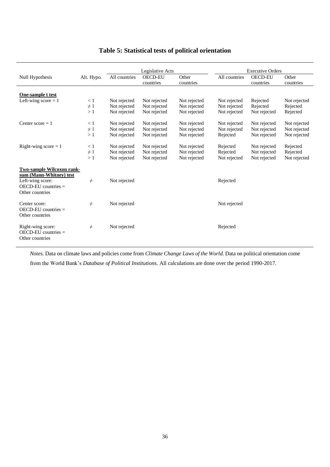|                                                                                                                         |            |               | Legislative Acts            |                    |               | <b>Executive Orders</b>     |                    |
|-------------------------------------------------------------------------------------------------------------------------|------------|---------------|-----------------------------|--------------------|---------------|-----------------------------|--------------------|
| Null Hypothesis                                                                                                         | Alt. Hypo. | All countries | <b>OECD-EU</b><br>countries | Other<br>countries | All countries | <b>OECD-EU</b><br>countries | Other<br>countries |
|                                                                                                                         |            |               |                             |                    |               |                             |                    |
| One-sample t test                                                                                                       |            |               |                             |                    |               |                             |                    |
| Left-wing score $= 1$                                                                                                   | $\leq 1$   | Not rejected  | Not rejected                | Not rejected       | Not rejected  | Rejected                    | Not rejected       |
|                                                                                                                         | $\neq$ 1   | Not rejected  | Not rejected                | Not rejected       | Not rejected  | Rejected                    | Rejected           |
|                                                                                                                         | >1         | Not rejected  | Not rejected                | Not rejected       | Not rejected  | Not rejected                | Rejected           |
| Center score $= 1$                                                                                                      | < 1        | Not rejected  | Not rejected                | Not rejected       | Not rejected  | Not rejected                | Not rejected       |
|                                                                                                                         | $\neq$ 1   | Not rejected  | Not rejected                | Not rejected       | Not rejected  | Not rejected                | Not rejected       |
|                                                                                                                         | >1         | Not rejected  | Not rejected                | Not rejected       | Rejected      | Not rejected                | Not rejected       |
| Right-wing score $= 1$                                                                                                  | $\leq 1$   | Not rejected  | Not rejected                | Not rejected       | Rejected      | Not rejected                | Rejected           |
|                                                                                                                         | $\neq$ 1   | Not rejected  | Not rejected                | Not rejected       | Rejected      | Not rejected                | Rejected           |
|                                                                                                                         | >1         | Not rejected  | Not rejected                | Not rejected       | Not rejected  | Not rejected                | Not rejected       |
| Two-sample Wilcoxon rank-<br>sum (Mann-Whitney) test<br>Left-wing score:<br>$OECD$ -EU countries $=$<br>Other countries | $\neq$     | Not rejected  |                             |                    | Rejected      |                             |                    |
| Center score:<br>$OECD$ -EU countries $=$<br>Other countries                                                            | $\neq$     | Not rejected  |                             |                    | Not rejected  |                             |                    |
| Right-wing score:<br>$OECD$ -EU countries $=$<br>Other countries                                                        | $\neq$     | Not rejected  |                             |                    | Rejected      |                             |                    |

## **Table 5: Statistical tests of political orientation**

*Notes.* Data on climate laws and policies come from *Climate Change Laws of the World*. Data on political orientation come

from the World Bank's *Database of Political Institutions*. All calculations are done over the period 1990-2017.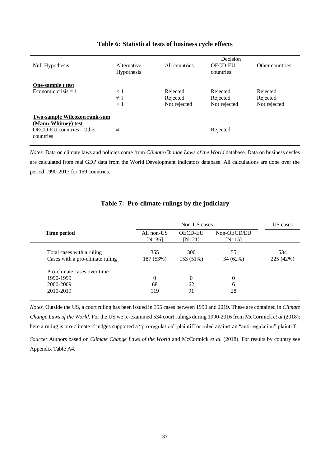|                                                                                                            |                           |                                      | Decision                             |                                      |
|------------------------------------------------------------------------------------------------------------|---------------------------|--------------------------------------|--------------------------------------|--------------------------------------|
| Null Hypothesis                                                                                            | Alternative<br>Hypothesis | All countries                        | <b>OECD-EU</b><br>countries          | Other countries                      |
| One-sample t test<br>Economic crisis $= 1$                                                                 | < 1<br>$\neq$ 1<br>>1     | Rejected<br>Rejected<br>Not rejected | Rejected<br>Rejected<br>Not rejected | Rejected<br>Rejected<br>Not rejected |
| <b>Two-sample Wilcoxon rank-sum</b><br>(Mann-Whitney) test<br><b>OECD-EU</b> countries= Other<br>countries | $\neq$                    |                                      | Rejected                             |                                      |

## **Table 6: Statistical tests of business cycle effects**

*Notes.* Data on climate laws and policies come from *Climate Change Laws of the World* database. Data on business cycles are calculated from real GDP data from the World Development Indicators database. All calculations are done over the period 1990-2017 for 169 countries.

|                                 | Non-US cases           |                            |                         |           |  |  |  |
|---------------------------------|------------------------|----------------------------|-------------------------|-----------|--|--|--|
| Time period                     | All non-US<br>$[N=36]$ | <b>OECD-EU</b><br>$[N=21]$ | Non-OECD/EU<br>$[N=15]$ |           |  |  |  |
| Total cases with a ruling       | 355                    | 300                        | 55                      | 534       |  |  |  |
| Cases with a pro-climate ruling | 187 (53%)              | 153 (51%)                  | 34 (62%)                | 225 (42%) |  |  |  |
| Pro-climate cases over time     |                        |                            |                         |           |  |  |  |
| 1990-1999                       | $\Omega$               | 0                          | $\Omega$                |           |  |  |  |
| 2000-2009                       | 68                     | 62                         | 6                       |           |  |  |  |
| 2010-2019                       | 119                    | 91                         | 28                      |           |  |  |  |

## **Table 7: Pro-climate rulings by the judiciary**

*Notes.* Outside the US, a court ruling has been issued in 355 cases between 1990 and 2019. These are contained in *Climate Change Laws of the World*. For the US we re-examined 534 court rulings during 1990-2016 from McCormick *et al* (2018); here a ruling is pro-climate if judges supported a "pro-regulation" plaintiff or ruled against an "anti-regulation" plaintiff.

*Source:* Authors based on *Climate Change Laws of the World* and McCormick *et al.* (2018). For results by country see Appendix Table A4.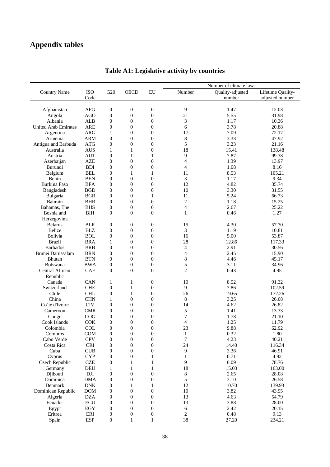# **Appendix tables**

|                                  |                          |                                  |                  |                                      |                          | Number of climate laws |                   |
|----------------------------------|--------------------------|----------------------------------|------------------|--------------------------------------|--------------------------|------------------------|-------------------|
| <b>Country Name</b>              | <b>ISO</b>               | G20                              | <b>OECD</b>      | ${\rm EU}$                           | Number                   | Quality-adjusted       | Lifetime Quality- |
|                                  | Code                     |                                  |                  |                                      |                          | number                 | adjusted number   |
|                                  | <b>AFG</b>               | $\boldsymbol{0}$                 | $\boldsymbol{0}$ | $\boldsymbol{0}$                     | 9                        | 1.47                   | 12.03             |
| Afghanistan<br>Angola            | <b>AGO</b>               | $\boldsymbol{0}$                 | $\boldsymbol{0}$ |                                      | 21                       | 5.55                   | 31.98             |
| Albania                          | <b>ALB</b>               | $\boldsymbol{0}$                 | $\mathbf{0}$     | $\boldsymbol{0}$<br>$\boldsymbol{0}$ | 3                        | 1.17                   | 10.36             |
| <b>United Arab Emirates</b>      | <b>ARE</b>               | $\boldsymbol{0}$                 | $\boldsymbol{0}$ | $\overline{0}$                       | 6                        | 3.78                   | 20.88             |
|                                  | <b>ARG</b>               |                                  | $\mathbf{0}$     | $\boldsymbol{0}$                     | 17                       | 7.09                   | 72.17             |
| Argentina<br>Armenia             | <b>ARM</b>               | $\mathbf{1}$<br>$\boldsymbol{0}$ | $\boldsymbol{0}$ | $\boldsymbol{0}$                     |                          | 3.33                   | 47.92             |
|                                  | <b>ATG</b>               | $\boldsymbol{0}$                 | $\mathbf{0}$     | $\boldsymbol{0}$                     | 8<br>5                   | 3.23                   | 21.16             |
| Antigua and Barbuda<br>Australia |                          |                                  |                  | $\overline{0}$                       | 18                       | 15.41                  | 138.48            |
| Austria                          | <b>AUS</b><br><b>AUT</b> | $\mathbf{1}$<br>$\boldsymbol{0}$ | 1<br>1           | 1                                    | $\mathbf{9}$             | 7.87                   | 99.38             |
|                                  | <b>AZE</b>               | $\boldsymbol{0}$                 | $\overline{0}$   | $\boldsymbol{0}$                     | $\overline{\mathcal{L}}$ | 1.39                   | 13.97             |
| Azerbaijan                       |                          |                                  |                  |                                      | $\overline{4}$           |                        |                   |
| Burundi                          | <b>BDI</b>               | $\boldsymbol{0}$                 | $\mathbf{0}$     | $\boldsymbol{0}$                     |                          | 1.08                   | 8.16              |
| Belgium                          | <b>BEL</b>               | $\boldsymbol{0}$                 | $\mathbf{1}$     | 1                                    | 11                       | 8.53                   | 105.21            |
| Benin                            | <b>BEN</b>               | $\boldsymbol{0}$                 | $\boldsymbol{0}$ | $\boldsymbol{0}$                     | $\mathfrak{Z}$           | 1.17                   | 9.34              |
| Burkina Faso                     | <b>BFA</b>               | $\boldsymbol{0}$                 | $\boldsymbol{0}$ | $\boldsymbol{0}$                     | 12                       | 4.82                   | 35.74             |
| Bangladesh                       | <b>BGD</b>               | $\boldsymbol{0}$                 | $\mathbf{0}$     | $\boldsymbol{0}$                     | 10                       | 3.30                   | 31.55             |
| Bulgaria                         | <b>BGR</b>               | $\boldsymbol{0}$                 | $\boldsymbol{0}$ | 1                                    | 11                       | 5.24                   | 66.73             |
| Bahrain                          | <b>BHR</b>               | $\boldsymbol{0}$                 | $\boldsymbol{0}$ | $\boldsymbol{0}$                     | $\overline{c}$           | 1.18                   | 15.25             |
| Bahamas, The                     | <b>BHS</b>               | $\boldsymbol{0}$                 | $\boldsymbol{0}$ | $\boldsymbol{0}$                     | $\overline{\mathcal{L}}$ | 2.67                   | 25.22             |
| Bosnia and                       | <b>BIH</b>               | $\boldsymbol{0}$                 | $\overline{0}$   | $\theta$                             | 1                        | 0.46                   | 1.27              |
| Herzegovina                      |                          |                                  |                  |                                      |                          |                        |                   |
| <b>Belarus</b>                   | <b>BLR</b>               | $\boldsymbol{0}$                 | $\boldsymbol{0}$ | $\boldsymbol{0}$                     | 15                       | 4.30                   | 57.70             |
| Belize                           | <b>BLZ</b>               | $\boldsymbol{0}$                 | $\boldsymbol{0}$ | $\boldsymbol{0}$                     | 3                        | 1.19                   | 10.81             |
| Bolivia                          | <b>BOL</b>               | $\boldsymbol{0}$                 | $\overline{0}$   | $\overline{0}$                       | 16                       | 5.00                   | 53.87             |
| <b>Brazil</b>                    | <b>BRA</b>               | 1                                | $\boldsymbol{0}$ | $\boldsymbol{0}$                     | 28                       | 12.86                  | 117.33            |
| <b>Barbados</b>                  | <b>BRB</b>               | $\boldsymbol{0}$                 | $\mathbf{0}$     | $\mathbf{0}$                         | $\overline{\mathcal{L}}$ | 2.91                   | 30.56             |
| Brunei Darussalam                | <b>BRN</b>               | $\boldsymbol{0}$                 | $\overline{0}$   | $\overline{0}$                       | $\overline{\mathcal{L}}$ | 2.45                   | 15.90             |
| Bhutan                           | <b>BTN</b>               | $\boldsymbol{0}$                 | $\boldsymbol{0}$ | $\boldsymbol{0}$                     | $\,8\,$                  | 4.46                   | 45.17             |
| <b>Botswana</b>                  | <b>BWA</b>               | $\boldsymbol{0}$                 | $\boldsymbol{0}$ | $\boldsymbol{0}$                     | 5                        | 3.11                   | 34.96             |
| Central African                  | CAF                      | $\boldsymbol{0}$                 | $\boldsymbol{0}$ | $\boldsymbol{0}$                     | $\overline{c}$           | 0.43                   | 4.95              |
| Republic                         |                          |                                  |                  |                                      |                          |                        |                   |
| Canada                           | CAN                      | $\mathbf{1}$                     | 1                | $\boldsymbol{0}$                     | 10                       | 8.52                   | 91.32             |
| Switzerland                      | <b>CHE</b>               | $\boldsymbol{0}$                 | $\mathbf{1}$     | $\boldsymbol{0}$                     | 9                        | 7.86                   | 102.59            |
| Chile                            | <b>CHL</b>               | $\boldsymbol{0}$                 | 1                | $\boldsymbol{0}$                     | 26                       | 19.65                  | 172.26            |
| China                            | <b>CHN</b>               | $\mathbf{1}$                     | $\mathbf{0}$     | $\boldsymbol{0}$                     | 8                        | 3.25                   | 26.08             |
| Co'te d'Ivoire                   | <b>CIV</b>               | $\boldsymbol{0}$                 | $\boldsymbol{0}$ | $\boldsymbol{0}$                     | 14                       | 4.62                   | 26.82             |
| Cameroon                         | <b>CMR</b>               | $\boldsymbol{0}$                 | $\boldsymbol{0}$ | $\boldsymbol{0}$                     | 5                        | 1.41                   | 13.33             |
| Congo                            | COG                      | $\boldsymbol{0}$                 | $\mathbf{0}$     | $\mathbf{0}$                         | 7                        | 1.78                   | 21.10             |
| Cook Islands                     | <b>COK</b>               | $\boldsymbol{0}$                 | $\mathbf{0}$     | $\boldsymbol{0}$                     | $\overline{4}$           | 1.25                   | 11.79             |
| Colombia                         | COL                      | $\boldsymbol{0}$                 | $\boldsymbol{0}$ | $\boldsymbol{0}$                     | 23                       | 9.88                   | 62.92             |
| Comoros                          | COM                      | $\boldsymbol{0}$                 | $\boldsymbol{0}$ | $\boldsymbol{0}$                     | $\mathbf{1}$             | 0.32                   | 1.80              |
| Cabo Verde                       | <b>CPV</b>               | $\boldsymbol{0}$                 | $\boldsymbol{0}$ | $\boldsymbol{0}$                     | 7                        | 4.23                   | 40.21             |
| Costa Rica                       | CRI                      | $\boldsymbol{0}$                 | $\boldsymbol{0}$ | $\boldsymbol{0}$                     | 24                       | 14.40                  | 116.34            |
| Cuba                             | CUB                      | $\boldsymbol{0}$                 | $\boldsymbol{0}$ | $\boldsymbol{0}$                     | 9                        | 3.36                   | 46.91             |
| Cyprus                           | <b>CYP</b>               | $\boldsymbol{0}$                 | $\boldsymbol{0}$ | 1                                    | 1                        | 0.71                   | 4.92              |
| Czech Republic                   | <b>CZE</b>               | $\boldsymbol{0}$                 | 1                | 1                                    | 9                        | 6.09                   | 78.76             |
| Germany                          | <b>DEU</b>               | 1                                | $\mathbf{1}$     | $\mathbf{1}$                         | 18                       | 15.03                  | 163.00            |
| Djibouti                         | $\rm{DJI}$               | $\boldsymbol{0}$                 | $\boldsymbol{0}$ | $\boldsymbol{0}$                     | 8                        | 2.65                   | 28.08             |
| Dominica                         | <b>DMA</b>               | $\boldsymbol{0}$                 | $\boldsymbol{0}$ | $\theta$                             | 5                        | 3.10                   | 26.58             |
| Denmark                          | ${\rm DNK}$              | $\boldsymbol{0}$                 | 1                | 1                                    | 12                       | 10.70                  | 139.93            |
| Dominican Republic               | <b>DOM</b>               | $\boldsymbol{0}$                 | $\boldsymbol{0}$ | $\boldsymbol{0}$                     | $10\,$                   | 3.82                   | 43.95             |
| Algeria                          | <b>DZA</b>               | $\boldsymbol{0}$                 | $\boldsymbol{0}$ | $\boldsymbol{0}$                     | 13                       | 4.63                   | 54.79             |
| Ecuador                          | ECU                      | $\boldsymbol{0}$                 | $\boldsymbol{0}$ | $\overline{0}$                       | 13                       | 3.88                   | 28.00             |
| Egypt                            | EGY                      | $\boldsymbol{0}$                 | $\boldsymbol{0}$ | $\boldsymbol{0}$                     | $\sqrt{6}$               | 2.42                   | 20.15             |
|                                  |                          |                                  |                  |                                      |                          | 0.48                   | 9.13              |
| Eritrea                          | ERI                      | $\boldsymbol{0}$                 | 0                | $\boldsymbol{0}$                     | 2                        |                        |                   |
| Spain                            | <b>ESP</b>               | $\boldsymbol{0}$                 | 1                | 1                                    | 38                       | 27.20                  | 234.21            |

# **Table A1: Legislative activity by countries**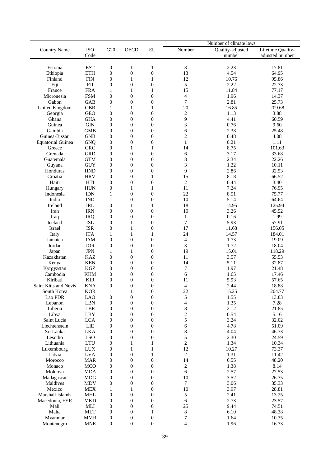|                                |                                                             |                                      |                       |                                    |                          | Number of climate laws |                   |
|--------------------------------|-------------------------------------------------------------|--------------------------------------|-----------------------|------------------------------------|--------------------------|------------------------|-------------------|
| <b>Country Name</b>            | <b>ISO</b>                                                  | G20                                  | <b>OECD</b>           | EU                                 | Number                   | Quality-adjusted       | Lifetime Quality- |
|                                | Code                                                        |                                      |                       |                                    |                          | number                 | adjusted number   |
|                                |                                                             |                                      |                       |                                    |                          |                        |                   |
| Estonia                        | <b>EST</b>                                                  | $\boldsymbol{0}$                     | 1                     | 1                                  | 3                        | 2.23                   | 17.81             |
| Ethiopia                       | <b>ETH</b>                                                  | $\boldsymbol{0}$                     | $\boldsymbol{0}$      | $\overline{0}$                     | 13                       | 4.54                   | 64.95             |
| Finland                        | <b>FIN</b>                                                  | $\boldsymbol{0}$                     | $\mathbf{1}$          | $\mathbf{1}$                       | 12                       | 10.76                  | 95.86             |
| Fiji                           | <b>FJI</b>                                                  | $\boldsymbol{0}$                     | $\boldsymbol{0}$      | $\boldsymbol{0}$                   | 5                        | 2.22                   | 22.73             |
| France                         | <b>FRA</b>                                                  | 1                                    | $\mathbf{1}$          | 1                                  | 15                       | 11.84                  | 77.17             |
| Micronesia                     | <b>FSM</b>                                                  | $\boldsymbol{0}$                     | $\boldsymbol{0}$      | $\boldsymbol{0}$                   | $\overline{4}$<br>$\tau$ | 1.96<br>2.81           | 14.37             |
| Gabon<br><b>United Kingdom</b> | GAB<br><b>GBR</b>                                           | $\boldsymbol{0}$<br>$\mathbf{1}$     | $\boldsymbol{0}$<br>1 | $\boldsymbol{0}$<br>1              | 20                       | 16.85                  | 25.73<br>209.68   |
| Georgia                        | <b>GEO</b>                                                  | $\boldsymbol{0}$                     | $\boldsymbol{0}$      | $\overline{0}$                     | $\boldsymbol{2}$         | 1.13                   | 3.88              |
| Ghana                          | <b>GHA</b>                                                  | $\boldsymbol{0}$                     | $\boldsymbol{0}$      | $\boldsymbol{0}$                   | 9                        | 4.41                   | 60.59             |
| Guinea                         | <b>GIN</b>                                                  | $\boldsymbol{0}$                     | $\boldsymbol{0}$      | $\boldsymbol{0}$                   | 3                        | 0.76                   | 9.60              |
| Gambia                         | <b>GMB</b>                                                  | $\boldsymbol{0}$                     | $\boldsymbol{0}$      | $\boldsymbol{0}$                   | 6                        | 2.38                   | 25.48             |
| Guinea-Bissau                  | <b>GNB</b>                                                  | $\boldsymbol{0}$                     | $\boldsymbol{0}$      | $\boldsymbol{0}$                   | $\mathfrak{2}$           | 0.48                   | 4.08              |
| <b>Equatorial Guinea</b>       | <b>GNQ</b>                                                  | $\boldsymbol{0}$                     | $\boldsymbol{0}$      | $\boldsymbol{0}$                   | $\mathbf{1}$             | 0.21                   | 1.11              |
| Greece                         | <b>GRC</b>                                                  | $\boldsymbol{0}$                     | $\mathbf{1}$          | 1                                  | 14                       | 8.75                   | 101.63            |
| Grenada                        | <b>GRD</b>                                                  | $\boldsymbol{0}$                     | $\boldsymbol{0}$      | $\overline{0}$                     | 6                        | 3.17                   | 33.68             |
| Guatemala                      | <b>GTM</b>                                                  | $\boldsymbol{0}$                     | $\boldsymbol{0}$      | $\boldsymbol{0}$                   | 8                        | 2.34                   | 22.26             |
| Guyana                         | <b>GUY</b>                                                  | $\boldsymbol{0}$                     | 0                     | $\overline{0}$                     | 3                        | 1.22                   | 10.11             |
| Honduras                       | <b>HND</b>                                                  | $\boldsymbol{0}$                     | $\boldsymbol{0}$      | $\boldsymbol{0}$                   | 9                        | 2.86                   | 32.53             |
| Croatia                        | <b>HRV</b>                                                  | $\boldsymbol{0}$                     | $\overline{0}$        | 1                                  | 15                       | 8.18                   | 66.52             |
| Haiti                          | HTI                                                         | $\boldsymbol{0}$                     | $\boldsymbol{0}$      | $\boldsymbol{0}$                   | $\overline{2}$           | 0.44                   | 3.40              |
| Hungary                        | <b>HUN</b>                                                  | $\boldsymbol{0}$                     | $\mathbf{1}$          | $\mathbf{1}$                       | 11                       | 7.24                   | 76.95             |
| Indonesia                      | <b>IDN</b>                                                  | $\mathbf{1}$                         | $\boldsymbol{0}$      | $\overline{0}$                     | 22                       | 8.51                   | 75.77             |
| India                          | <b>IND</b>                                                  | $\mathbf{1}$                         | $\boldsymbol{0}$      | $\boldsymbol{0}$                   | 10                       | 5.14                   | 64.64             |
| Ireland                        | <b>IRL</b>                                                  | $\boldsymbol{0}$                     | 1                     | 1                                  | 18                       | 14.95                  | 125.94            |
| Iran                           | <b>IRN</b>                                                  | $\boldsymbol{0}$                     | $\boldsymbol{0}$      | $\boldsymbol{0}$                   | 10                       | 3.26                   | 45.52             |
| Iraq                           | <b>IRQ</b>                                                  | $\boldsymbol{0}$                     | $\boldsymbol{0}$      | $\overline{0}$                     | $\mathbf{1}$             | 0.16                   | 1.99              |
| Iceland                        | <b>ISL</b>                                                  | $\boldsymbol{0}$                     | 1                     | $\boldsymbol{0}$                   | $\overline{7}$           | 5.93                   | 57.91             |
| Israel                         | <b>ISR</b>                                                  | $\boldsymbol{0}$                     | 1                     | $\overline{0}$                     | 17                       | 11.68                  | 156.05            |
| Italy                          | <b>ITA</b>                                                  | $\mathbf{1}$                         | 1                     | 1                                  | 24                       | 14.57                  | 184.01            |
| Jamaica                        | <b>JAM</b>                                                  | $\boldsymbol{0}$                     | 0                     | $\overline{0}$                     | $\overline{\mathcal{A}}$ | 1.73                   | 19.09             |
| Jordan                         | <b>JOR</b>                                                  | $\boldsymbol{0}$                     | $\boldsymbol{0}$      | $\boldsymbol{0}$                   | 3                        | 1.72                   | 18.04             |
| Japan                          | <b>JPN</b>                                                  | $\mathbf{1}$                         | $\mathbf{1}$          | $\boldsymbol{0}$                   | 19                       | 15.01                  | 118.29            |
| Kazakhstan                     | <b>KAZ</b>                                                  | $\boldsymbol{0}$                     | $\boldsymbol{0}$      | $\boldsymbol{0}$                   | 11                       | 3.57                   | 55.53             |
| Kenya                          | <b>KEN</b>                                                  | $\boldsymbol{0}$                     | $\boldsymbol{0}$      | $\boldsymbol{0}$                   | 14                       | 5.11                   | 32.87             |
| Kyrgyzstan                     | $\rm KGZ$                                                   | $\boldsymbol{0}$                     | $\boldsymbol{0}$      | $\boldsymbol{0}$                   | $\overline{7}$           | 1.97                   | 21.48             |
| Cambodia                       | <b>KHM</b>                                                  | 0                                    | $\boldsymbol{0}$      | $\mathbf{0}$                       | 6                        | 1.65                   | 17.46             |
| Kiribati                       | <b>KIR</b>                                                  | $\boldsymbol{0}$                     | $\boldsymbol{0}$      | $\overline{0}$                     | 11                       | 5.93                   | 57.65             |
| Saint Kitts and Nevis          | <b>KNA</b>                                                  | $\overline{0}$                       | $\theta$              | $\theta$                           | $\overline{4}$           | 2.44                   | 18.88             |
| South Korea                    | <b>KOR</b>                                                  | $\mathbf{1}$                         | $\mathbf{1}$          | $\boldsymbol{0}$                   | 22                       | 15.25                  | 204.77            |
| Lao PDR                        | <b>LAO</b>                                                  | $\boldsymbol{0}$                     | $\boldsymbol{0}$      | $\boldsymbol{0}$                   | 5                        | 1.55                   | 13.83             |
| Lebanon                        | LBN                                                         | $\boldsymbol{0}$                     | $\boldsymbol{0}$      | $\boldsymbol{0}$                   | 4                        | 1.35                   | 7.28              |
| Liberia                        | LBR                                                         | $\boldsymbol{0}$                     | $\boldsymbol{0}$      | $\boldsymbol{0}$                   | $\,8\,$                  | 2.12                   | 21.85             |
| Libya                          | LBY                                                         | $\boldsymbol{0}$                     | $\boldsymbol{0}$      | $\boldsymbol{0}$                   | $\overline{c}$           | 0.54                   | 5.16              |
| Saint Lucia                    | <b>LCA</b>                                                  | 0                                    | $\boldsymbol{0}$      | $\boldsymbol{0}$                   | 5                        | 3.24                   | 32.02             |
| Liechtenstein                  | LIE                                                         | $\boldsymbol{0}$                     | $\boldsymbol{0}$      | $\boldsymbol{0}$                   | 6                        | 4.78                   | 51.09             |
| Sri Lanka                      | <b>LKA</b>                                                  | $\boldsymbol{0}$                     | $\boldsymbol{0}$      | $\boldsymbol{0}$                   | $\,8\,$                  | 4.04                   | 46.33             |
| Lesotho                        | <b>LSO</b>                                                  | 0                                    | $\boldsymbol{0}$      | $\boldsymbol{0}$                   | 5                        | 2.30                   | 24.59             |
| Lithuania                      | $\ensuremath{\text{L}\text{T}}\xspace\ensuremath{\text{U}}$ | $\boldsymbol{0}$                     | $\mathbf{1}$          | 1                                  | $\overline{c}$           | 1.34                   | 10.34             |
| Luxembourg                     | $_{\mbox{\text{LUX}}}$                                      | $\boldsymbol{0}$                     | $\mathbf{1}$          | $\mathbf{1}$                       | 12                       | 10.27                  | 73.37             |
| Latvia                         | <b>LVA</b>                                                  | $\boldsymbol{0}$                     | $\boldsymbol{0}$      | 1                                  | $\overline{c}$           | 1.31                   | 11.42             |
| Morocco                        | <b>MAR</b>                                                  | $\boldsymbol{0}$                     | $\boldsymbol{0}$      | $\boldsymbol{0}$                   | 14                       | 6.55                   | 48.20             |
| Monaco                         | <b>MCO</b>                                                  | $\boldsymbol{0}$                     | $\boldsymbol{0}$      | $\boldsymbol{0}$                   | $\overline{c}$           | 1.38                   | 8.14              |
| Moldova                        | <b>MDA</b>                                                  | $\boldsymbol{0}$                     | $\boldsymbol{0}$      | $\boldsymbol{0}$                   | 6                        | 2.57                   | 27.53             |
| Madagascar                     | <b>MDG</b>                                                  | $\boldsymbol{0}$                     | $\boldsymbol{0}$      | $\boldsymbol{0}$                   | 10                       | 3.52                   | 26.35             |
| Maldives                       | MDV                                                         | $\boldsymbol{0}$                     | $\boldsymbol{0}$      | $\boldsymbol{0}$                   | $\tau$                   | 3.06                   | 35.33             |
| Mexico<br>Marshall Islands     | <b>MEX</b>                                                  | $\mathbf{1}$                         | $\mathbf{1}$          | $\boldsymbol{0}$                   | 10                       | 3.97                   | 28.81             |
|                                | MHL                                                         | $\boldsymbol{0}$                     | $\boldsymbol{0}$      | $\boldsymbol{0}$                   | 5                        | 2.41                   | 13.25             |
| Macedonia, FYR<br>Mali         | <b>MKD</b><br>MLI                                           | $\boldsymbol{0}$<br>$\boldsymbol{0}$ | 0<br>$\mathbf{0}$     | $\boldsymbol{0}$<br>$\overline{0}$ | 6<br>25                  | 2.73<br>9.44           | 23.57<br>74.51    |
| Malta                          | MLT                                                         | $\boldsymbol{0}$                     | $\boldsymbol{0}$      | 1                                  | $\,8\,$                  | 6.10                   | 48.38             |
| Myanmar                        | <b>MMR</b>                                                  | $\boldsymbol{0}$                     | $\boldsymbol{0}$      | $\boldsymbol{0}$                   | 7                        | 1.64                   | 10.35             |
| Montenegro                     | $\ensuremath{\mathsf{MNE}}$                                 | $\boldsymbol{0}$                     | $\boldsymbol{0}$      | $\boldsymbol{0}$                   | $\overline{4}$           | 1.96                   | 16.73             |
|                                |                                                             |                                      |                       |                                    |                          |                        |                   |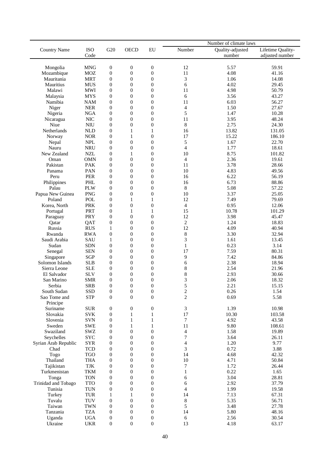|                      |                          |                  |                  |                  | Number of climate laws  |                  |                   |  |  |
|----------------------|--------------------------|------------------|------------------|------------------|-------------------------|------------------|-------------------|--|--|
| <b>Country Name</b>  | <b>ISO</b>               | G20              | <b>OECD</b>      | ${\rm EU}$       | Number                  | Quality-adjusted | Lifetime Quality- |  |  |
|                      | Code                     |                  |                  |                  |                         | number           | adjusted number   |  |  |
|                      |                          |                  |                  |                  |                         |                  |                   |  |  |
| Mongolia             | <b>MNG</b>               | $\boldsymbol{0}$ | $\boldsymbol{0}$ | $\boldsymbol{0}$ | 12                      | 5.57             | 59.91             |  |  |
| Mozambique           | <b>MOZ</b>               | $\boldsymbol{0}$ | $\boldsymbol{0}$ | $\boldsymbol{0}$ | 11                      | 4.08             | 41.16             |  |  |
| Mauritania           | <b>MRT</b>               | $\boldsymbol{0}$ | $\boldsymbol{0}$ | $\boldsymbol{0}$ | 3                       | 1.06             | 14.08             |  |  |
| Mauritius            | <b>MUS</b>               | $\boldsymbol{0}$ | $\boldsymbol{0}$ | $\boldsymbol{0}$ | 6                       | 4.02             | 29.45             |  |  |
| Malawi               | <b>MWI</b>               | $\boldsymbol{0}$ | $\boldsymbol{0}$ | 0                | 11                      | 4.98             | 50.79             |  |  |
| Malaysia             | <b>MYS</b>               | $\boldsymbol{0}$ | $\boldsymbol{0}$ | $\boldsymbol{0}$ | 6                       | 3.56             | 43.27             |  |  |
| Namibia              | <b>NAM</b>               | $\boldsymbol{0}$ | $\overline{0}$   | $\overline{0}$   | 11                      | 6.03             | 56.27             |  |  |
| Niger                | <b>NER</b>               | $\boldsymbol{0}$ | $\boldsymbol{0}$ | $\boldsymbol{0}$ | $\overline{4}$          | 1.50             | 27.67             |  |  |
| Nigeria              | <b>NGA</b>               | $\boldsymbol{0}$ | $\boldsymbol{0}$ | $\boldsymbol{0}$ | 5                       | 1.47             | 10.28             |  |  |
| Nicaragua            | <b>NIC</b>               | $\boldsymbol{0}$ | $\boldsymbol{0}$ | $\boldsymbol{0}$ | 11                      | 3.95             | 48.24             |  |  |
| Niue                 | <b>NIU</b>               | $\boldsymbol{0}$ | $\boldsymbol{0}$ | $\boldsymbol{0}$ | $\,8\,$                 | 2.75             | 24.30             |  |  |
| Netherlands          | <b>NLD</b>               | $\boldsymbol{0}$ | $\mathbf{1}$     | $\mathbf{1}$     | 16                      | 13.82            | 131.05            |  |  |
| Norway               | <b>NOR</b>               | $\boldsymbol{0}$ | 1                | $\boldsymbol{0}$ | 17                      | 15.22            | 186.10            |  |  |
|                      |                          |                  |                  |                  |                         |                  |                   |  |  |
| Nepal                | <b>NPL</b>               | $\boldsymbol{0}$ | $\boldsymbol{0}$ | $\boldsymbol{0}$ | 5                       | 1.67             | 22.70             |  |  |
| Nauru                | <b>NRU</b>               | $\boldsymbol{0}$ | $\boldsymbol{0}$ | $\boldsymbol{0}$ | $\overline{4}$          | 1.77             | 18.61             |  |  |
| New Zealand          | <b>NZL</b>               | $\boldsymbol{0}$ | 1                | $\boldsymbol{0}$ | 10                      | 8.75             | 101.82            |  |  |
| Oman                 | <b>OMN</b>               | $\boldsymbol{0}$ | $\boldsymbol{0}$ | $\boldsymbol{0}$ | $\overline{\mathbf{4}}$ | 2.36             | 19.61             |  |  |
| Pakistan             | <b>PAK</b>               | $\boldsymbol{0}$ | $\overline{0}$   | $\overline{0}$   | 11                      | 3.78             | 28.66             |  |  |
| Panama               | PAN                      | $\boldsymbol{0}$ | $\boldsymbol{0}$ | $\boldsymbol{0}$ | 10                      | 4.83             | 49.56             |  |  |
| Peru                 | <b>PER</b>               | $\boldsymbol{0}$ | $\boldsymbol{0}$ | $\boldsymbol{0}$ | 16                      | 6.22             | 56.19             |  |  |
| Philippines          | PHL                      | $\boldsymbol{0}$ | $\boldsymbol{0}$ | $\boldsymbol{0}$ | 16                      | 6.73             | 88.86             |  |  |
| Palau                | <b>PLW</b>               | $\boldsymbol{0}$ | $\boldsymbol{0}$ | $\boldsymbol{0}$ | $\,8\,$                 | 5.08             | 57.22             |  |  |
| Papua New Guinea     | <b>PNG</b>               | $\boldsymbol{0}$ | $\boldsymbol{0}$ | $\boldsymbol{0}$ | 10                      | 3.37             | 25.05             |  |  |
| Poland               | POL                      | $\boldsymbol{0}$ | 1                | 1                | 12                      | 7.49             | 79.69             |  |  |
| Korea, North         | <b>PRK</b>               | $\boldsymbol{0}$ | $\boldsymbol{0}$ | $\boldsymbol{0}$ | $\overline{4}$          | 0.95             | 12.06             |  |  |
| Portugal             | <b>PRT</b>               | $\boldsymbol{0}$ | 1                | 1                | 15                      | 10.78            | 101.29            |  |  |
| Paraguay             | PRY                      | $\boldsymbol{0}$ | $\boldsymbol{0}$ | $\boldsymbol{0}$ | 12                      | 3.98             | 45.47             |  |  |
| Qatar                | QAT                      | $\boldsymbol{0}$ | $\boldsymbol{0}$ | $\boldsymbol{0}$ | $\sqrt{2}$              | 1.24             | 18.83             |  |  |
| Russia               | <b>RUS</b>               | $\mathbf{1}$     | $\overline{0}$   | $\overline{0}$   | 12                      | 4.09             | 40.94             |  |  |
| Rwanda               | <b>RWA</b>               | $\boldsymbol{0}$ | $\boldsymbol{0}$ | $\boldsymbol{0}$ | $\,8\,$                 | 3.30             | 32.94             |  |  |
| Saudi Arabia         | SAU                      | $\mathbf{1}$     | $\boldsymbol{0}$ | $\boldsymbol{0}$ | 3                       | 1.61             | 13.45             |  |  |
| Sudan                | <b>SDN</b>               | $\boldsymbol{0}$ | $\boldsymbol{0}$ | $\boldsymbol{0}$ | $\mathbf{1}$            | 0.23             | 3.14              |  |  |
| Senegal              | <b>SEN</b>               | $\boldsymbol{0}$ | $\boldsymbol{0}$ | $\boldsymbol{0}$ | 17                      | 7.59             | 80.31             |  |  |
| Singapore            | <b>SGP</b>               | 0                | $\boldsymbol{0}$ | $\boldsymbol{0}$ | 9                       | 7.42             | 84.86             |  |  |
| Solomon Islands      | <b>SLB</b>               | $\boldsymbol{0}$ | $\boldsymbol{0}$ | $\boldsymbol{0}$ | 6                       | 2.38             | 18.94             |  |  |
| Sierra Leone         | <b>SLE</b>               | $\boldsymbol{0}$ | $\overline{0}$   | $\theta$         | 8                       | 2.54             | 21.96             |  |  |
| El Salvador          | <b>SLV</b>               | $\boldsymbol{0}$ | $\boldsymbol{0}$ | $\boldsymbol{0}$ | 8                       | 2.93             | 30.66             |  |  |
| San Marino           | <b>SMR</b>               | $\boldsymbol{0}$ | $\overline{0}$   | $\boldsymbol{0}$ | 3                       | 2.06             | 18.32             |  |  |
| Serbia               | <b>SRB</b>               | $\boldsymbol{0}$ | $\Omega$         | $\theta$         | 5                       | 2.21             | 15.15             |  |  |
| South Sudan          | SSD                      | $\boldsymbol{0}$ | $\boldsymbol{0}$ | $\boldsymbol{0}$ | $\boldsymbol{2}$        | 0.26             | 1.54              |  |  |
| Sao Tome and         | <b>STP</b>               | $\boldsymbol{0}$ | $\boldsymbol{0}$ | $\boldsymbol{0}$ | $\overline{c}$          | 0.69             | 5.58              |  |  |
| Principe             |                          |                  |                  |                  |                         |                  |                   |  |  |
| Suriname             | $\rm SUR$                | $\boldsymbol{0}$ | 0                | $\boldsymbol{0}$ | 3                       | 1.39             | 10.98             |  |  |
| Slovakia             | <b>SVK</b>               | $\boldsymbol{0}$ | 1                | $\mathbf{1}$     | 17                      | 10.30            | 103.58            |  |  |
| Slovenia             | <b>SVN</b>               | $\boldsymbol{0}$ | 1                | 1                | $\tau$                  | 4.92             | 43.58             |  |  |
| Sweden               | <b>SWE</b>               | 0                | 1                | 1                | 11                      | 9.80             | 108.61            |  |  |
| Swaziland            |                          |                  |                  | $\boldsymbol{0}$ |                         |                  | 19.89             |  |  |
| Seychelles           | SWZ                      | $\boldsymbol{0}$ | 0                |                  | $\overline{4}$<br>7     | 1.58<br>3.64     |                   |  |  |
|                      | ${\rm SYC}$              | 0                | $\boldsymbol{0}$ | $\boldsymbol{0}$ |                         |                  | 26.11             |  |  |
| Syrian Arab Republic | <b>SYR</b>               | $\boldsymbol{0}$ | $\boldsymbol{0}$ | $\boldsymbol{0}$ | $\overline{4}$          | 1.20             | 9.77              |  |  |
| Chad                 | <b>TCD</b>               | $\boldsymbol{0}$ | $\boldsymbol{0}$ | $\boldsymbol{0}$ | 3                       | 0.72             | 3.88              |  |  |
| Togo                 | <b>TGO</b>               | $\boldsymbol{0}$ | $\boldsymbol{0}$ | $\boldsymbol{0}$ | 14                      | 4.68             | 42.32             |  |  |
| Thailand             | <b>THA</b>               | 0                | 0                | $\boldsymbol{0}$ | 10                      | 4.71             | 50.84             |  |  |
| Tajikistan           | $\ensuremath{{\rm TJK}}$ | $\boldsymbol{0}$ | $\boldsymbol{0}$ | $\boldsymbol{0}$ | 7                       | 1.72             | 26.44             |  |  |
| Turkmenistan         | <b>TKM</b>               | $\boldsymbol{0}$ | 0                | $\boldsymbol{0}$ | 1                       | 0.22             | 1.65              |  |  |
| Tonga                | <b>TON</b>               | $\boldsymbol{0}$ | $\boldsymbol{0}$ | $\boldsymbol{0}$ | 6                       | 3.04             | 28.81             |  |  |
| Trinidad and Tobago  | <b>TTO</b>               | 0                | $\boldsymbol{0}$ | $\boldsymbol{0}$ | 6                       | 2.92             | 37.79             |  |  |
| Tunisia              | TUN                      | $\boldsymbol{0}$ | 0                | 0                | $\overline{4}$          | 1.99             | 19.58             |  |  |
| Turkey               | TUR                      | 1                | 1                | $\theta$         | 14                      | 7.13             | 67.31             |  |  |
| Tuvalu               | TUV                      | 0                | $\boldsymbol{0}$ | $\boldsymbol{0}$ | $\,8\,$                 | 5.35             | 56.71             |  |  |
| Taiwan               | <b>TWN</b>               | 0                | $\boldsymbol{0}$ | $\boldsymbol{0}$ | 5                       | 3.48             | 27.78             |  |  |
| Tanzania             | <b>TZA</b>               | 0                | $\boldsymbol{0}$ | 0                | 14                      | 5.80             | 48.16             |  |  |
| Uganda               | <b>UGA</b>               | 0                | 0                | $\boldsymbol{0}$ | 6                       | 2.56             | 30.54             |  |  |
| Ukraine              | <b>UKR</b>               | $\boldsymbol{0}$ | $\boldsymbol{0}$ | $\boldsymbol{0}$ | 13                      | 4.18             | 63.17             |  |  |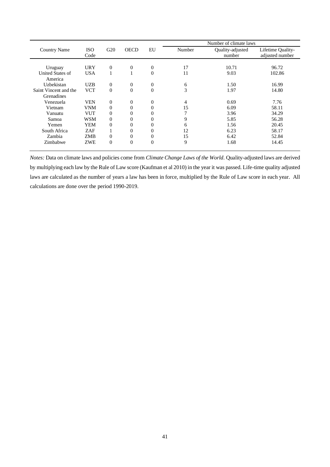|                       |            |                  |                  |                | Number of climate laws |                  |                   |  |
|-----------------------|------------|------------------|------------------|----------------|------------------------|------------------|-------------------|--|
| <b>Country Name</b>   | <b>ISO</b> | G20              | <b>OECD</b>      | EU             | Number                 | Quality-adjusted | Lifetime Quality- |  |
|                       | Code       |                  |                  |                |                        | number           | adjusted number   |  |
|                       |            |                  |                  |                |                        |                  |                   |  |
| Uruguay               | <b>URY</b> | $\boldsymbol{0}$ | $\boldsymbol{0}$ | 0              | 17                     | 10.71            | 96.72             |  |
| United States of      | <b>USA</b> | 1                |                  | $\overline{0}$ | 11                     | 9.03             | 102.86            |  |
| America               |            |                  |                  |                |                        |                  |                   |  |
| Uzbekistan            | <b>UZB</b> | $\boldsymbol{0}$ | $\boldsymbol{0}$ | 0              | 6                      | 1.50             | 16.99             |  |
| Saint Vincent and the | <b>VCT</b> | $\theta$         | $\overline{0}$   | $\overline{0}$ | 3                      | 1.97             | 14.80             |  |
| Grenadines            |            |                  |                  |                |                        |                  |                   |  |
| Venezuela             | <b>VEN</b> | $\boldsymbol{0}$ | $\boldsymbol{0}$ | 0              | 4                      | 0.69             | 7.76              |  |
| Vietnam               | VNM        | $\overline{0}$   | 0                | 0              | 15                     | 6.09             | 58.11             |  |
| Vanuatu               | <b>VUT</b> | $\overline{0}$   | 0                | 0              | ⇁                      | 3.96             | 34.29             |  |
| Samoa                 | WSM        | $\overline{0}$   | $\theta$         | 0              | 9                      | 5.85             | 56.28             |  |
| Yemen                 | YEM        | $\overline{0}$   | $\theta$         | 0              | 6                      | 1.56             | 20.45             |  |
| South Africa          | <b>ZAF</b> | 1                | 0                | 0              | 12                     | 6.23             | 58.17             |  |
| Zambia                | <b>ZMB</b> | $\overline{0}$   | $\overline{0}$   | 0              | 15                     | 6.42             | 52.84             |  |
| Zimbabwe              | <b>ZWE</b> | $\theta$         | $\overline{0}$   | $\Omega$       | 9                      | 1.68             | 14.45             |  |

*Notes:* Data on climate laws and policies come from *Climate Change Laws of the World*. Quality-adjusted laws are derived by multiplying each law by the Rule of Law score (Kaufman et al 2010) in the year it was passed. Life-time quality adjusted laws are calculated as the number of years a law has been in force, multiplied by the Rule of Law score in each year. All calculations are done over the period 1990-2019.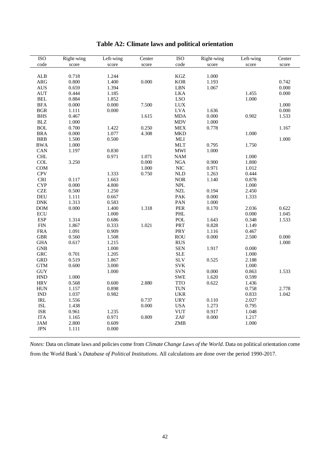| $\operatorname{code}$<br>code<br>score<br>score<br>score<br>score<br>score<br>score<br>ALB<br>0.718<br>1.244<br>$\rm KGZ$<br>1.000<br>0.000<br>0.800<br><b>KOR</b><br>0.742<br>ARG<br>1.400<br>1.193<br>LBN<br>0.000<br><b>AUS</b><br>0.659<br>1.394<br>1.067<br><b>LKA</b><br><b>AUT</b><br>0.444<br>1.185<br>1.455<br>0.000<br>$\operatorname{BEL}$<br><b>LSO</b><br>0.884<br>1.000<br>1.852<br>0.000<br>7.500<br>$_{\mbox{\footnotesize{LUX}}}$<br>1.000<br><b>BFA</b><br>0.000<br>$\operatorname{BGR}$<br><b>LVA</b><br>0.000<br>1.111<br>0.000<br>1.636<br><b>BHS</b><br>0.467<br>1.615<br><b>MDA</b><br>0.902<br>0.000<br>1.533<br><b>BLZ</b><br>1.000<br><b>MDV</b><br>1.000<br>0.250<br><b>BOL</b><br>0.700<br>1.422<br>${\rm MEX}$<br>0.778<br>1.167<br><b>BRA</b><br>0.000<br>1.077<br>4.308<br><b>MKD</b><br>1.000<br><b>BRB</b><br>1.500<br>0.500<br>$\operatorname{MLI}$<br>1.000<br>1.000<br><b>MLT</b><br>0.795<br><b>BWA</b><br>1.750<br>1.197<br>0.830<br>$\mathbf{M}\mathbf{W}\mathbf{I}$<br>CAN<br>1.000<br>CHL<br>0.971<br>1.071<br>$\mathbf{N}\mathbf{A}\mathbf{M}$<br>1.000<br>COL<br>3.250<br>0.000<br>${\rm NGA}$<br>0.900<br>1.800<br><b>COM</b><br>1.000<br><b>NIC</b><br>0.971<br>1.012<br><b>CPV</b><br>0.750<br><b>NLD</b><br>1.333<br>1.263<br>0.444<br><b>NOR</b><br>$\ensuremath{\mathsf{CRI}}$<br>0.117<br>1.140<br>0.878<br>1.663<br>$\ensuremath{\mathsf{NPL}}$<br><b>CYP</b><br>0.000<br>4.800<br>1.000<br><b>CZE</b><br>0.500<br>$\ensuremath{\text{NZL}}$<br>1.250<br>0.194<br>2.450<br>PAK<br>DEU<br>1.111<br>0.667<br>0.000<br>1.333<br>PAN<br><b>DNK</b><br>1.313<br>0.583<br>1.000<br>PER<br><b>DOM</b><br>0.000<br>1.400<br>1.318<br>0.170<br>2.036<br>0.622<br>ECU<br>PHL<br>0.000<br>1.045<br>1.000<br><b>ESP</b><br>POL<br>1.314<br>0.686<br>1.643<br>1.533<br>0.348<br>1.021<br>PRT<br>1.867<br>0.828<br><b>FIN</b><br>0.333<br>1.149<br>PRY<br><b>FRA</b><br>1.091<br>0.909<br>1.116<br>0.467<br><b>ROU</b><br>0.000<br><b>GBR</b><br>0.560<br>1.508<br>0.000<br>2.500<br><b>RUS</b><br><b>GHA</b><br>0.617<br>1.215<br>1.000<br><b>SEN</b><br>1.000<br>0.000<br><b>GNB</b><br>1.917<br><b>SLE</b><br><b>GRC</b><br>0.701<br>1.000<br>1.205<br>0.519<br><b>SLV</b><br><b>GRD</b><br>1.867<br>0.525<br>2.188<br><b>SVK</b><br><b>GTM</b><br>0.600<br>3.000<br>1.000<br>SVN<br>$\rm GUY$<br>1.000<br>0.000<br>0.863<br>1.533<br><b>HND</b><br><b>SWE</b><br>1.000<br>1.620<br>0.599<br><b>HRV</b><br>0.568<br>2.880<br><b>TTO</b><br>0.600<br>0.622<br>1.436<br><b>HUN</b><br>0.898<br><b>TUN</b><br>0.758<br>1.157<br>2.778<br><b>UKR</b><br>$\mathop{\rm IND}\nolimits$<br>1.037<br>1.042<br>0.982<br>0.833<br><b>URY</b><br>$\ensuremath{\mathsf{IRL}}\xspace$<br>1.556<br>0.737<br>0.110<br>2.027<br>$\operatorname{ISL}$<br>0.000<br><b>USA</b><br>1.273<br>0.795<br>1.438<br><b>VUT</b><br><b>ISR</b><br>0.961<br>0.917<br>1.048<br>1.235<br>ZAF<br>0.809<br>0.000<br>1.217<br><b>ITA</b><br>1.165<br>0.971 | ISO        | Right-wing | Left-wing | Center | <b>ISO</b> | Right-wing | Left-wing | Center |
|-----------------------------------------------------------------------------------------------------------------------------------------------------------------------------------------------------------------------------------------------------------------------------------------------------------------------------------------------------------------------------------------------------------------------------------------------------------------------------------------------------------------------------------------------------------------------------------------------------------------------------------------------------------------------------------------------------------------------------------------------------------------------------------------------------------------------------------------------------------------------------------------------------------------------------------------------------------------------------------------------------------------------------------------------------------------------------------------------------------------------------------------------------------------------------------------------------------------------------------------------------------------------------------------------------------------------------------------------------------------------------------------------------------------------------------------------------------------------------------------------------------------------------------------------------------------------------------------------------------------------------------------------------------------------------------------------------------------------------------------------------------------------------------------------------------------------------------------------------------------------------------------------------------------------------------------------------------------------------------------------------------------------------------------------------------------------------------------------------------------------------------------------------------------------------------------------------------------------------------------------------------------------------------------------------------------------------------------------------------------------------------------------------------------------------------------------------------------------------------------------------------------------------------------------------------------------------------------------------------------------------------------------------------------------------------------------------------------------------------------------------------------------------------------------------------------------------------------------------------------------------------------------------------------------------------------------------------------|------------|------------|-----------|--------|------------|------------|-----------|--------|
|                                                                                                                                                                                                                                                                                                                                                                                                                                                                                                                                                                                                                                                                                                                                                                                                                                                                                                                                                                                                                                                                                                                                                                                                                                                                                                                                                                                                                                                                                                                                                                                                                                                                                                                                                                                                                                                                                                                                                                                                                                                                                                                                                                                                                                                                                                                                                                                                                                                                                                                                                                                                                                                                                                                                                                                                                                                                                                                                                                 |            |            |           |        |            |            |           |        |
|                                                                                                                                                                                                                                                                                                                                                                                                                                                                                                                                                                                                                                                                                                                                                                                                                                                                                                                                                                                                                                                                                                                                                                                                                                                                                                                                                                                                                                                                                                                                                                                                                                                                                                                                                                                                                                                                                                                                                                                                                                                                                                                                                                                                                                                                                                                                                                                                                                                                                                                                                                                                                                                                                                                                                                                                                                                                                                                                                                 |            |            |           |        |            |            |           |        |
|                                                                                                                                                                                                                                                                                                                                                                                                                                                                                                                                                                                                                                                                                                                                                                                                                                                                                                                                                                                                                                                                                                                                                                                                                                                                                                                                                                                                                                                                                                                                                                                                                                                                                                                                                                                                                                                                                                                                                                                                                                                                                                                                                                                                                                                                                                                                                                                                                                                                                                                                                                                                                                                                                                                                                                                                                                                                                                                                                                 |            |            |           |        |            |            |           |        |
|                                                                                                                                                                                                                                                                                                                                                                                                                                                                                                                                                                                                                                                                                                                                                                                                                                                                                                                                                                                                                                                                                                                                                                                                                                                                                                                                                                                                                                                                                                                                                                                                                                                                                                                                                                                                                                                                                                                                                                                                                                                                                                                                                                                                                                                                                                                                                                                                                                                                                                                                                                                                                                                                                                                                                                                                                                                                                                                                                                 |            |            |           |        |            |            |           |        |
|                                                                                                                                                                                                                                                                                                                                                                                                                                                                                                                                                                                                                                                                                                                                                                                                                                                                                                                                                                                                                                                                                                                                                                                                                                                                                                                                                                                                                                                                                                                                                                                                                                                                                                                                                                                                                                                                                                                                                                                                                                                                                                                                                                                                                                                                                                                                                                                                                                                                                                                                                                                                                                                                                                                                                                                                                                                                                                                                                                 |            |            |           |        |            |            |           |        |
|                                                                                                                                                                                                                                                                                                                                                                                                                                                                                                                                                                                                                                                                                                                                                                                                                                                                                                                                                                                                                                                                                                                                                                                                                                                                                                                                                                                                                                                                                                                                                                                                                                                                                                                                                                                                                                                                                                                                                                                                                                                                                                                                                                                                                                                                                                                                                                                                                                                                                                                                                                                                                                                                                                                                                                                                                                                                                                                                                                 |            |            |           |        |            |            |           |        |
|                                                                                                                                                                                                                                                                                                                                                                                                                                                                                                                                                                                                                                                                                                                                                                                                                                                                                                                                                                                                                                                                                                                                                                                                                                                                                                                                                                                                                                                                                                                                                                                                                                                                                                                                                                                                                                                                                                                                                                                                                                                                                                                                                                                                                                                                                                                                                                                                                                                                                                                                                                                                                                                                                                                                                                                                                                                                                                                                                                 |            |            |           |        |            |            |           |        |
|                                                                                                                                                                                                                                                                                                                                                                                                                                                                                                                                                                                                                                                                                                                                                                                                                                                                                                                                                                                                                                                                                                                                                                                                                                                                                                                                                                                                                                                                                                                                                                                                                                                                                                                                                                                                                                                                                                                                                                                                                                                                                                                                                                                                                                                                                                                                                                                                                                                                                                                                                                                                                                                                                                                                                                                                                                                                                                                                                                 |            |            |           |        |            |            |           |        |
|                                                                                                                                                                                                                                                                                                                                                                                                                                                                                                                                                                                                                                                                                                                                                                                                                                                                                                                                                                                                                                                                                                                                                                                                                                                                                                                                                                                                                                                                                                                                                                                                                                                                                                                                                                                                                                                                                                                                                                                                                                                                                                                                                                                                                                                                                                                                                                                                                                                                                                                                                                                                                                                                                                                                                                                                                                                                                                                                                                 |            |            |           |        |            |            |           |        |
|                                                                                                                                                                                                                                                                                                                                                                                                                                                                                                                                                                                                                                                                                                                                                                                                                                                                                                                                                                                                                                                                                                                                                                                                                                                                                                                                                                                                                                                                                                                                                                                                                                                                                                                                                                                                                                                                                                                                                                                                                                                                                                                                                                                                                                                                                                                                                                                                                                                                                                                                                                                                                                                                                                                                                                                                                                                                                                                                                                 |            |            |           |        |            |            |           |        |
|                                                                                                                                                                                                                                                                                                                                                                                                                                                                                                                                                                                                                                                                                                                                                                                                                                                                                                                                                                                                                                                                                                                                                                                                                                                                                                                                                                                                                                                                                                                                                                                                                                                                                                                                                                                                                                                                                                                                                                                                                                                                                                                                                                                                                                                                                                                                                                                                                                                                                                                                                                                                                                                                                                                                                                                                                                                                                                                                                                 |            |            |           |        |            |            |           |        |
|                                                                                                                                                                                                                                                                                                                                                                                                                                                                                                                                                                                                                                                                                                                                                                                                                                                                                                                                                                                                                                                                                                                                                                                                                                                                                                                                                                                                                                                                                                                                                                                                                                                                                                                                                                                                                                                                                                                                                                                                                                                                                                                                                                                                                                                                                                                                                                                                                                                                                                                                                                                                                                                                                                                                                                                                                                                                                                                                                                 |            |            |           |        |            |            |           |        |
|                                                                                                                                                                                                                                                                                                                                                                                                                                                                                                                                                                                                                                                                                                                                                                                                                                                                                                                                                                                                                                                                                                                                                                                                                                                                                                                                                                                                                                                                                                                                                                                                                                                                                                                                                                                                                                                                                                                                                                                                                                                                                                                                                                                                                                                                                                                                                                                                                                                                                                                                                                                                                                                                                                                                                                                                                                                                                                                                                                 |            |            |           |        |            |            |           |        |
|                                                                                                                                                                                                                                                                                                                                                                                                                                                                                                                                                                                                                                                                                                                                                                                                                                                                                                                                                                                                                                                                                                                                                                                                                                                                                                                                                                                                                                                                                                                                                                                                                                                                                                                                                                                                                                                                                                                                                                                                                                                                                                                                                                                                                                                                                                                                                                                                                                                                                                                                                                                                                                                                                                                                                                                                                                                                                                                                                                 |            |            |           |        |            |            |           |        |
|                                                                                                                                                                                                                                                                                                                                                                                                                                                                                                                                                                                                                                                                                                                                                                                                                                                                                                                                                                                                                                                                                                                                                                                                                                                                                                                                                                                                                                                                                                                                                                                                                                                                                                                                                                                                                                                                                                                                                                                                                                                                                                                                                                                                                                                                                                                                                                                                                                                                                                                                                                                                                                                                                                                                                                                                                                                                                                                                                                 |            |            |           |        |            |            |           |        |
|                                                                                                                                                                                                                                                                                                                                                                                                                                                                                                                                                                                                                                                                                                                                                                                                                                                                                                                                                                                                                                                                                                                                                                                                                                                                                                                                                                                                                                                                                                                                                                                                                                                                                                                                                                                                                                                                                                                                                                                                                                                                                                                                                                                                                                                                                                                                                                                                                                                                                                                                                                                                                                                                                                                                                                                                                                                                                                                                                                 |            |            |           |        |            |            |           |        |
|                                                                                                                                                                                                                                                                                                                                                                                                                                                                                                                                                                                                                                                                                                                                                                                                                                                                                                                                                                                                                                                                                                                                                                                                                                                                                                                                                                                                                                                                                                                                                                                                                                                                                                                                                                                                                                                                                                                                                                                                                                                                                                                                                                                                                                                                                                                                                                                                                                                                                                                                                                                                                                                                                                                                                                                                                                                                                                                                                                 |            |            |           |        |            |            |           |        |
|                                                                                                                                                                                                                                                                                                                                                                                                                                                                                                                                                                                                                                                                                                                                                                                                                                                                                                                                                                                                                                                                                                                                                                                                                                                                                                                                                                                                                                                                                                                                                                                                                                                                                                                                                                                                                                                                                                                                                                                                                                                                                                                                                                                                                                                                                                                                                                                                                                                                                                                                                                                                                                                                                                                                                                                                                                                                                                                                                                 |            |            |           |        |            |            |           |        |
|                                                                                                                                                                                                                                                                                                                                                                                                                                                                                                                                                                                                                                                                                                                                                                                                                                                                                                                                                                                                                                                                                                                                                                                                                                                                                                                                                                                                                                                                                                                                                                                                                                                                                                                                                                                                                                                                                                                                                                                                                                                                                                                                                                                                                                                                                                                                                                                                                                                                                                                                                                                                                                                                                                                                                                                                                                                                                                                                                                 |            |            |           |        |            |            |           |        |
|                                                                                                                                                                                                                                                                                                                                                                                                                                                                                                                                                                                                                                                                                                                                                                                                                                                                                                                                                                                                                                                                                                                                                                                                                                                                                                                                                                                                                                                                                                                                                                                                                                                                                                                                                                                                                                                                                                                                                                                                                                                                                                                                                                                                                                                                                                                                                                                                                                                                                                                                                                                                                                                                                                                                                                                                                                                                                                                                                                 |            |            |           |        |            |            |           |        |
|                                                                                                                                                                                                                                                                                                                                                                                                                                                                                                                                                                                                                                                                                                                                                                                                                                                                                                                                                                                                                                                                                                                                                                                                                                                                                                                                                                                                                                                                                                                                                                                                                                                                                                                                                                                                                                                                                                                                                                                                                                                                                                                                                                                                                                                                                                                                                                                                                                                                                                                                                                                                                                                                                                                                                                                                                                                                                                                                                                 |            |            |           |        |            |            |           |        |
|                                                                                                                                                                                                                                                                                                                                                                                                                                                                                                                                                                                                                                                                                                                                                                                                                                                                                                                                                                                                                                                                                                                                                                                                                                                                                                                                                                                                                                                                                                                                                                                                                                                                                                                                                                                                                                                                                                                                                                                                                                                                                                                                                                                                                                                                                                                                                                                                                                                                                                                                                                                                                                                                                                                                                                                                                                                                                                                                                                 |            |            |           |        |            |            |           |        |
|                                                                                                                                                                                                                                                                                                                                                                                                                                                                                                                                                                                                                                                                                                                                                                                                                                                                                                                                                                                                                                                                                                                                                                                                                                                                                                                                                                                                                                                                                                                                                                                                                                                                                                                                                                                                                                                                                                                                                                                                                                                                                                                                                                                                                                                                                                                                                                                                                                                                                                                                                                                                                                                                                                                                                                                                                                                                                                                                                                 |            |            |           |        |            |            |           |        |
|                                                                                                                                                                                                                                                                                                                                                                                                                                                                                                                                                                                                                                                                                                                                                                                                                                                                                                                                                                                                                                                                                                                                                                                                                                                                                                                                                                                                                                                                                                                                                                                                                                                                                                                                                                                                                                                                                                                                                                                                                                                                                                                                                                                                                                                                                                                                                                                                                                                                                                                                                                                                                                                                                                                                                                                                                                                                                                                                                                 |            |            |           |        |            |            |           |        |
|                                                                                                                                                                                                                                                                                                                                                                                                                                                                                                                                                                                                                                                                                                                                                                                                                                                                                                                                                                                                                                                                                                                                                                                                                                                                                                                                                                                                                                                                                                                                                                                                                                                                                                                                                                                                                                                                                                                                                                                                                                                                                                                                                                                                                                                                                                                                                                                                                                                                                                                                                                                                                                                                                                                                                                                                                                                                                                                                                                 |            |            |           |        |            |            |           |        |
|                                                                                                                                                                                                                                                                                                                                                                                                                                                                                                                                                                                                                                                                                                                                                                                                                                                                                                                                                                                                                                                                                                                                                                                                                                                                                                                                                                                                                                                                                                                                                                                                                                                                                                                                                                                                                                                                                                                                                                                                                                                                                                                                                                                                                                                                                                                                                                                                                                                                                                                                                                                                                                                                                                                                                                                                                                                                                                                                                                 |            |            |           |        |            |            |           |        |
|                                                                                                                                                                                                                                                                                                                                                                                                                                                                                                                                                                                                                                                                                                                                                                                                                                                                                                                                                                                                                                                                                                                                                                                                                                                                                                                                                                                                                                                                                                                                                                                                                                                                                                                                                                                                                                                                                                                                                                                                                                                                                                                                                                                                                                                                                                                                                                                                                                                                                                                                                                                                                                                                                                                                                                                                                                                                                                                                                                 |            |            |           |        |            |            |           |        |
|                                                                                                                                                                                                                                                                                                                                                                                                                                                                                                                                                                                                                                                                                                                                                                                                                                                                                                                                                                                                                                                                                                                                                                                                                                                                                                                                                                                                                                                                                                                                                                                                                                                                                                                                                                                                                                                                                                                                                                                                                                                                                                                                                                                                                                                                                                                                                                                                                                                                                                                                                                                                                                                                                                                                                                                                                                                                                                                                                                 |            |            |           |        |            |            |           |        |
|                                                                                                                                                                                                                                                                                                                                                                                                                                                                                                                                                                                                                                                                                                                                                                                                                                                                                                                                                                                                                                                                                                                                                                                                                                                                                                                                                                                                                                                                                                                                                                                                                                                                                                                                                                                                                                                                                                                                                                                                                                                                                                                                                                                                                                                                                                                                                                                                                                                                                                                                                                                                                                                                                                                                                                                                                                                                                                                                                                 |            |            |           |        |            |            |           |        |
|                                                                                                                                                                                                                                                                                                                                                                                                                                                                                                                                                                                                                                                                                                                                                                                                                                                                                                                                                                                                                                                                                                                                                                                                                                                                                                                                                                                                                                                                                                                                                                                                                                                                                                                                                                                                                                                                                                                                                                                                                                                                                                                                                                                                                                                                                                                                                                                                                                                                                                                                                                                                                                                                                                                                                                                                                                                                                                                                                                 |            |            |           |        |            |            |           |        |
|                                                                                                                                                                                                                                                                                                                                                                                                                                                                                                                                                                                                                                                                                                                                                                                                                                                                                                                                                                                                                                                                                                                                                                                                                                                                                                                                                                                                                                                                                                                                                                                                                                                                                                                                                                                                                                                                                                                                                                                                                                                                                                                                                                                                                                                                                                                                                                                                                                                                                                                                                                                                                                                                                                                                                                                                                                                                                                                                                                 |            |            |           |        |            |            |           |        |
|                                                                                                                                                                                                                                                                                                                                                                                                                                                                                                                                                                                                                                                                                                                                                                                                                                                                                                                                                                                                                                                                                                                                                                                                                                                                                                                                                                                                                                                                                                                                                                                                                                                                                                                                                                                                                                                                                                                                                                                                                                                                                                                                                                                                                                                                                                                                                                                                                                                                                                                                                                                                                                                                                                                                                                                                                                                                                                                                                                 |            |            |           |        |            |            |           |        |
|                                                                                                                                                                                                                                                                                                                                                                                                                                                                                                                                                                                                                                                                                                                                                                                                                                                                                                                                                                                                                                                                                                                                                                                                                                                                                                                                                                                                                                                                                                                                                                                                                                                                                                                                                                                                                                                                                                                                                                                                                                                                                                                                                                                                                                                                                                                                                                                                                                                                                                                                                                                                                                                                                                                                                                                                                                                                                                                                                                 |            |            |           |        |            |            |           |        |
|                                                                                                                                                                                                                                                                                                                                                                                                                                                                                                                                                                                                                                                                                                                                                                                                                                                                                                                                                                                                                                                                                                                                                                                                                                                                                                                                                                                                                                                                                                                                                                                                                                                                                                                                                                                                                                                                                                                                                                                                                                                                                                                                                                                                                                                                                                                                                                                                                                                                                                                                                                                                                                                                                                                                                                                                                                                                                                                                                                 |            |            |           |        |            |            |           |        |
|                                                                                                                                                                                                                                                                                                                                                                                                                                                                                                                                                                                                                                                                                                                                                                                                                                                                                                                                                                                                                                                                                                                                                                                                                                                                                                                                                                                                                                                                                                                                                                                                                                                                                                                                                                                                                                                                                                                                                                                                                                                                                                                                                                                                                                                                                                                                                                                                                                                                                                                                                                                                                                                                                                                                                                                                                                                                                                                                                                 |            |            |           |        |            |            |           |        |
|                                                                                                                                                                                                                                                                                                                                                                                                                                                                                                                                                                                                                                                                                                                                                                                                                                                                                                                                                                                                                                                                                                                                                                                                                                                                                                                                                                                                                                                                                                                                                                                                                                                                                                                                                                                                                                                                                                                                                                                                                                                                                                                                                                                                                                                                                                                                                                                                                                                                                                                                                                                                                                                                                                                                                                                                                                                                                                                                                                 |            |            |           |        |            |            |           |        |
|                                                                                                                                                                                                                                                                                                                                                                                                                                                                                                                                                                                                                                                                                                                                                                                                                                                                                                                                                                                                                                                                                                                                                                                                                                                                                                                                                                                                                                                                                                                                                                                                                                                                                                                                                                                                                                                                                                                                                                                                                                                                                                                                                                                                                                                                                                                                                                                                                                                                                                                                                                                                                                                                                                                                                                                                                                                                                                                                                                 |            |            |           |        |            |            |           |        |
|                                                                                                                                                                                                                                                                                                                                                                                                                                                                                                                                                                                                                                                                                                                                                                                                                                                                                                                                                                                                                                                                                                                                                                                                                                                                                                                                                                                                                                                                                                                                                                                                                                                                                                                                                                                                                                                                                                                                                                                                                                                                                                                                                                                                                                                                                                                                                                                                                                                                                                                                                                                                                                                                                                                                                                                                                                                                                                                                                                 |            |            |           |        |            |            |           |        |
|                                                                                                                                                                                                                                                                                                                                                                                                                                                                                                                                                                                                                                                                                                                                                                                                                                                                                                                                                                                                                                                                                                                                                                                                                                                                                                                                                                                                                                                                                                                                                                                                                                                                                                                                                                                                                                                                                                                                                                                                                                                                                                                                                                                                                                                                                                                                                                                                                                                                                                                                                                                                                                                                                                                                                                                                                                                                                                                                                                 |            |            |           |        |            |            |           |        |
|                                                                                                                                                                                                                                                                                                                                                                                                                                                                                                                                                                                                                                                                                                                                                                                                                                                                                                                                                                                                                                                                                                                                                                                                                                                                                                                                                                                                                                                                                                                                                                                                                                                                                                                                                                                                                                                                                                                                                                                                                                                                                                                                                                                                                                                                                                                                                                                                                                                                                                                                                                                                                                                                                                                                                                                                                                                                                                                                                                 |            |            |           |        |            |            |           |        |
|                                                                                                                                                                                                                                                                                                                                                                                                                                                                                                                                                                                                                                                                                                                                                                                                                                                                                                                                                                                                                                                                                                                                                                                                                                                                                                                                                                                                                                                                                                                                                                                                                                                                                                                                                                                                                                                                                                                                                                                                                                                                                                                                                                                                                                                                                                                                                                                                                                                                                                                                                                                                                                                                                                                                                                                                                                                                                                                                                                 |            |            |           |        |            |            |           |        |
|                                                                                                                                                                                                                                                                                                                                                                                                                                                                                                                                                                                                                                                                                                                                                                                                                                                                                                                                                                                                                                                                                                                                                                                                                                                                                                                                                                                                                                                                                                                                                                                                                                                                                                                                                                                                                                                                                                                                                                                                                                                                                                                                                                                                                                                                                                                                                                                                                                                                                                                                                                                                                                                                                                                                                                                                                                                                                                                                                                 |            |            |           |        |            |            |           |        |
|                                                                                                                                                                                                                                                                                                                                                                                                                                                                                                                                                                                                                                                                                                                                                                                                                                                                                                                                                                                                                                                                                                                                                                                                                                                                                                                                                                                                                                                                                                                                                                                                                                                                                                                                                                                                                                                                                                                                                                                                                                                                                                                                                                                                                                                                                                                                                                                                                                                                                                                                                                                                                                                                                                                                                                                                                                                                                                                                                                 |            |            |           |        |            |            |           |        |
|                                                                                                                                                                                                                                                                                                                                                                                                                                                                                                                                                                                                                                                                                                                                                                                                                                                                                                                                                                                                                                                                                                                                                                                                                                                                                                                                                                                                                                                                                                                                                                                                                                                                                                                                                                                                                                                                                                                                                                                                                                                                                                                                                                                                                                                                                                                                                                                                                                                                                                                                                                                                                                                                                                                                                                                                                                                                                                                                                                 |            |            |           |        |            |            |           |        |
|                                                                                                                                                                                                                                                                                                                                                                                                                                                                                                                                                                                                                                                                                                                                                                                                                                                                                                                                                                                                                                                                                                                                                                                                                                                                                                                                                                                                                                                                                                                                                                                                                                                                                                                                                                                                                                                                                                                                                                                                                                                                                                                                                                                                                                                                                                                                                                                                                                                                                                                                                                                                                                                                                                                                                                                                                                                                                                                                                                 |            |            |           |        |            |            |           |        |
|                                                                                                                                                                                                                                                                                                                                                                                                                                                                                                                                                                                                                                                                                                                                                                                                                                                                                                                                                                                                                                                                                                                                                                                                                                                                                                                                                                                                                                                                                                                                                                                                                                                                                                                                                                                                                                                                                                                                                                                                                                                                                                                                                                                                                                                                                                                                                                                                                                                                                                                                                                                                                                                                                                                                                                                                                                                                                                                                                                 | <b>JAM</b> | 2.800      | 0.609     |        | ZMB        |            | 1.000     |        |
| $\mbox{JPN}$<br>1.111<br>0.000                                                                                                                                                                                                                                                                                                                                                                                                                                                                                                                                                                                                                                                                                                                                                                                                                                                                                                                                                                                                                                                                                                                                                                                                                                                                                                                                                                                                                                                                                                                                                                                                                                                                                                                                                                                                                                                                                                                                                                                                                                                                                                                                                                                                                                                                                                                                                                                                                                                                                                                                                                                                                                                                                                                                                                                                                                                                                                                                  |            |            |           |        |            |            |           |        |

## **Table A2: Climate laws and political orientation**

*Notes:* Data on climate laws and policies come from *Climate Change Laws of the World*. Data on political orientation come from the World Bank's *Database of Political Institutions*. All calculations are done over the period 1990-2017.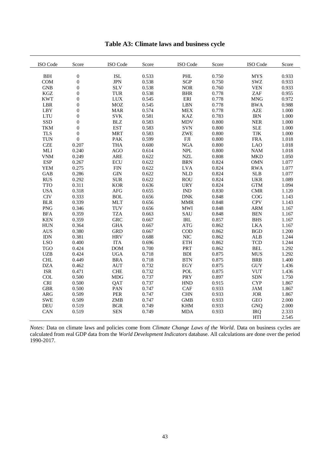| ISO Code             | Score            | ISO Code   | Score | ISO Code                    | Score | ISO Code                         | Score |
|----------------------|------------------|------------|-------|-----------------------------|-------|----------------------------------|-------|
| $\operatorname{BIH}$ | $\boldsymbol{0}$ | <b>ISL</b> | 0.533 | PHL                         | 0.750 | <b>MYS</b>                       | 0.933 |
| COM                  | $\boldsymbol{0}$ | <b>JPN</b> | 0.538 | <b>SGP</b>                  | 0.750 | SWZ                              | 0.933 |
| <b>GNB</b>           | $\boldsymbol{0}$ | <b>SLV</b> | 0.538 | <b>NOR</b>                  | 0.760 | <b>VEN</b>                       | 0.933 |
| KGZ                  | $\overline{0}$   | <b>TUR</b> | 0.538 | <b>BHR</b>                  | 0.778 | ZAF                              | 0.955 |
| <b>KWT</b>           | $\mathbf{0}$     | <b>LUX</b> | 0.545 | ERI                         | 0.778 | <b>MNG</b>                       | 0.972 |
| LBR                  | $\boldsymbol{0}$ | <b>MOZ</b> | 0.545 | <b>LBN</b>                  | 0.778 | <b>BWA</b>                       | 0.988 |
| <b>LBY</b>           | $\boldsymbol{0}$ | <b>MAR</b> | 0.574 | <b>MEX</b>                  | 0.778 | <b>AZE</b>                       | 1.000 |
| <b>LTU</b>           | $\overline{0}$   | <b>SVK</b> | 0.581 | <b>KAZ</b>                  | 0.783 | <b>IRN</b>                       | 1.000 |
| SSD                  | $\overline{0}$   | $\rm B LZ$ | 0.583 | <b>MDV</b>                  | 0.800 | ${\sf NER}$                      | 1.000 |
| <b>TKM</b>           | $\mathbf{0}$     | <b>EST</b> | 0.583 | <b>SVN</b>                  | 0.800 | <b>SLE</b>                       | 1.000 |
| <b>TLS</b>           | $\boldsymbol{0}$ | <b>MRT</b> | 0.583 | <b>ZWE</b>                  | 0.800 | TJK                              | 1.000 |
| <b>TUN</b>           | $\boldsymbol{0}$ | PAK        | 0.599 | ${\rm FJI}$                 | 0.800 | <b>FRA</b>                       | 1.018 |
| <b>CZE</b>           | 0.207            | <b>THA</b> | 0.600 | ${\rm NGA}$                 | 0.800 | <b>LAO</b>                       | 1.018 |
| $\operatorname{MLI}$ | 0.240            | AGO        | 0.614 | <b>NPL</b>                  | 0.800 | $\mathbf{N}\mathbf{A}\mathbf{M}$ | 1.018 |
| <b>VNM</b>           | 0.249            | <b>ARE</b> | 0.622 | <b>NZL</b>                  | 0.808 | <b>MKD</b>                       | 1.050 |
| <b>ESP</b>           | 0.267            | ECU        | 0.622 | <b>BRN</b>                  | 0.824 | <b>OMN</b>                       | 1.077 |
| <b>YEM</b>           | 0.275            | <b>FIN</b> | 0.622 | <b>LVA</b>                  | 0.824 | <b>RWA</b>                       | 1.077 |
| <b>GAB</b>           | 0.286            | <b>GIN</b> | 0.622 | <b>NLD</b>                  | 0.824 | <b>SLB</b>                       | 1.077 |
| <b>RUS</b>           | 0.292            | <b>SUR</b> | 0.622 | <b>ROU</b>                  | 0.824 | <b>UKR</b>                       | 1.089 |
| <b>TTO</b>           | 0.311            | <b>KOR</b> | 0.636 | <b>URY</b>                  | 0.824 | <b>GTM</b>                       | 1.094 |
| <b>USA</b>           | 0.318            | AFG        | 0.655 | $\mathop{\rm IND}\nolimits$ | 0.830 | CMR                              | 1.120 |
| $\rm CIV$            | 0.333            | <b>BOL</b> | 0.656 | ${\rm DNK}$                 | 0.848 | COG                              | 1.143 |
| <b>BLR</b>           | 0.339            | <b>MLT</b> | 0.656 | $\ensuremath{\mathsf{MMR}}$ | 0.848 | <b>CPV</b>                       | 1.143 |
| <b>PNG</b>           | 0.346            | TUV        | 0.656 | <b>MWI</b>                  | 0.848 | <b>ARM</b>                       | 1.167 |
| <b>BFA</b>           | 0.359            | <b>TZA</b> | 0.663 | SAU                         | 0.848 | <b>BEN</b>                       | 1.167 |
| <b>KEN</b>           | 0.359            | <b>GRC</b> | 0.667 | IRL                         | 0.857 | <b>BHS</b>                       | 1.167 |
| ${\rm HUN}$          | 0.364            | <b>GHA</b> | 0.667 | <b>ATG</b>                  | 0.862 | <b>LKA</b>                       | 1.167 |
| <b>AUS</b>           | 0.380            | <b>GRD</b> | 0.667 | $\rm{COD}$                  | 0.862 | <b>BGD</b>                       | 1.200 |
| <b>IDN</b>           | 0.381            | <b>HRV</b> | 0.688 | <b>NIC</b>                  | 0.862 | <b>ALB</b>                       | 1.244 |
| <b>LSO</b>           | 0.400            | <b>ITA</b> | 0.696 | <b>ETH</b>                  | 0.862 | <b>TCD</b>                       | 1.244 |
| <b>TGO</b>           | 0.424            | DOM        | 0.700 | PRT                         | 0.862 | $\operatorname{BEL}$             | 1.292 |
| <b>UZB</b>           | 0.424            | <b>UGA</b> | 0.718 | <b>BDI</b>                  | 0.875 | <b>MUS</b>                       | 1.292 |
| <b>CHL</b>           | 0.449            | <b>BRA</b> | 0.718 | <b>BTN</b>                  | 0.875 | <b>BRB</b>                       | 1.400 |
| <b>DZA</b>           | 0.462            | <b>AUT</b> | 0.732 | EGY                         | 0.875 | <b>GUY</b>                       | 1.436 |
| <b>ISR</b>           | 0.471            | <b>CHE</b> | 0.732 | <b>POL</b>                  | 0.875 | <b>VUT</b>                       | 1.436 |
| COL                  | 0.500            | <b>MDG</b> | 0.737 | PRY                         | 0.897 | <b>SDN</b>                       | 1.750 |
| <b>CRI</b>           | 0.500            | QAT        | 0.737 | <b>HND</b>                  | 0.915 | <b>CYP</b>                       | 1.867 |
| <b>GBR</b>           | 0.500            | PAN        | 0.747 | CAF                         | 0.933 | <b>JAM</b>                       | 1.867 |
| ${\sf ARG}$          | 0.509            | PER        | 0.747 | <b>CHN</b>                  | 0.933 | <b>JOR</b>                       | 1.867 |
| <b>SWE</b>           | 0.509            | ZMB        | 0.747 | <b>GMB</b>                  | 0.933 | <b>GEO</b>                       | 2.000 |
| <b>DEU</b>           | 0.519            | <b>BGR</b> | 0.749 | <b>KHM</b>                  | 0.933 | <b>GNQ</b>                       | 2.000 |
| CAN                  | 0.519            | <b>SEN</b> | 0.749 | <b>MDA</b>                  | 0.933 | <b>IRQ</b>                       | 2.333 |
|                      |                  |            |       |                             |       | <b>HTI</b>                       | 2.545 |

**Table A3: Climate laws and business cycle**

*Notes:* Data on climate laws and policies come from *Climate Change Laws of the World*. Data on business cycles are calculated from real GDP data from the *World Development Indicators* database. All calculations are done over the period 1990-2017.